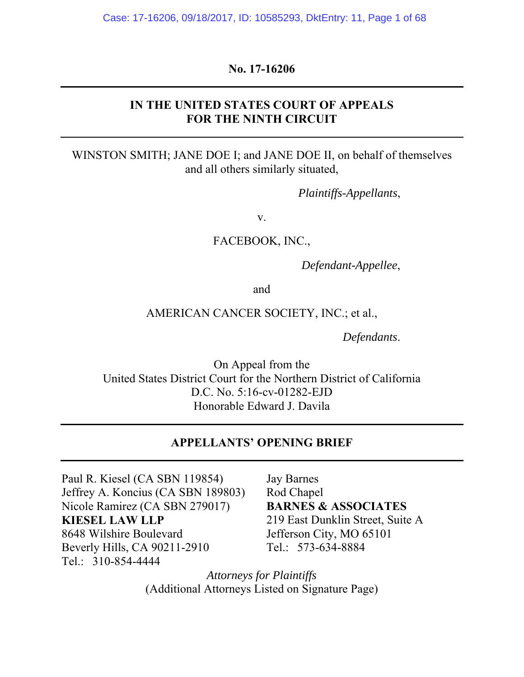### **No. 17-16206**

## **IN THE UNITED STATES COURT OF APPEALS FOR THE NINTH CIRCUIT**

WINSTON SMITH; JANE DOE I; and JANE DOE II, on behalf of themselves and all others similarly situated,

*Plaintiffs-Appellants*,

v.

FACEBOOK, INC.,

*Defendant-Appellee*,

and

#### AMERICAN CANCER SOCIETY, INC.; et al.,

*Defendants*.

On Appeal from the United States District Court for the Northern District of California D.C. No. 5:16-cv-01282-EJD Honorable Edward J. Davila

## **APPELLANTS' OPENING BRIEF**

Paul R. Kiesel (CA SBN 119854) Jeffrey A. Koncius (CA SBN 189803) Nicole Ramirez (CA SBN 279017) **KIESEL LAW LLP**  8648 Wilshire Boulevard Beverly Hills, CA 90211-2910 Tel.: 310-854-4444

Jay Barnes Rod Chapel **BARNES & ASSOCIATES**  219 East Dunklin Street, Suite A Jefferson City, MO 65101 Tel.: 573-634-8884

*Attorneys for Plaintiffs* (Additional Attorneys Listed on Signature Page)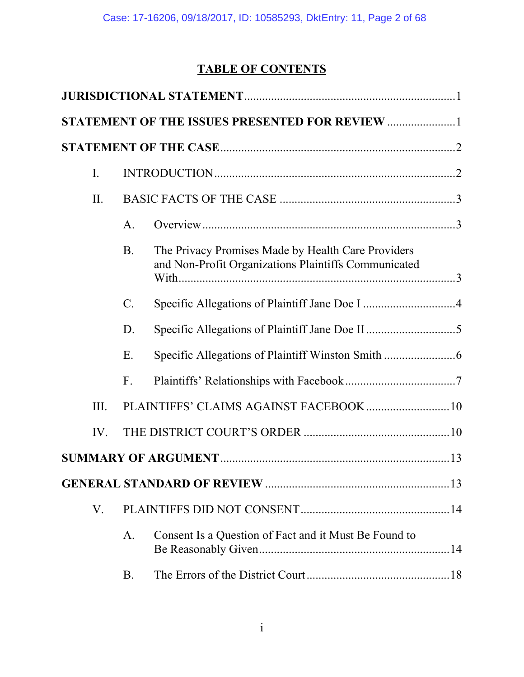# **TABLE OF CONTENTS**

|      |           | STATEMENT OF THE ISSUES PRESENTED FOR REVIEW 1                                                             |  |
|------|-----------|------------------------------------------------------------------------------------------------------------|--|
|      |           |                                                                                                            |  |
| I.   |           |                                                                                                            |  |
| II.  |           |                                                                                                            |  |
|      | A.        |                                                                                                            |  |
|      | <b>B.</b> | The Privacy Promises Made by Health Care Providers<br>and Non-Profit Organizations Plaintiffs Communicated |  |
|      | $C$ .     |                                                                                                            |  |
|      | D.        |                                                                                                            |  |
|      | Ε.        |                                                                                                            |  |
|      | F.        |                                                                                                            |  |
| III. |           | PLAINTIFFS' CLAIMS AGAINST FACEBOOK 10                                                                     |  |
| IV.  |           |                                                                                                            |  |
|      |           |                                                                                                            |  |
|      |           |                                                                                                            |  |
| V.   |           |                                                                                                            |  |
|      | A.        | Consent Is a Question of Fact and it Must Be Found to                                                      |  |
|      | B.        |                                                                                                            |  |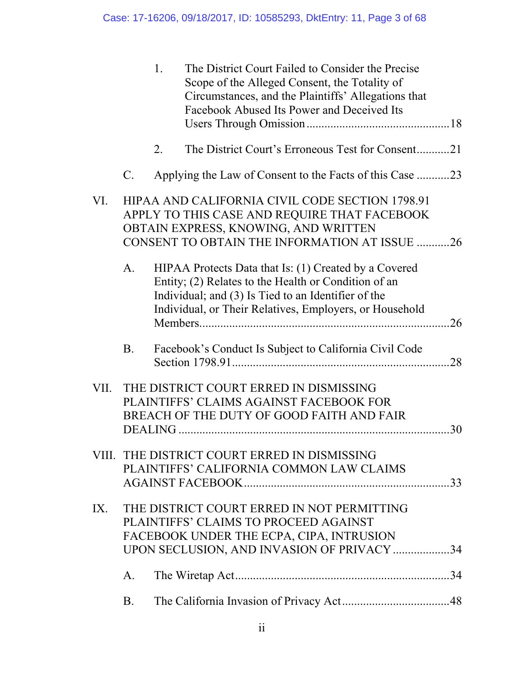|      |                | 1. | The District Court Failed to Consider the Precise<br>Scope of the Alleged Consent, the Totality of<br>Circumstances, and the Plaintiffs' Allegations that<br>Facebook Abused Its Power and Deceived Its                         |    |
|------|----------------|----|---------------------------------------------------------------------------------------------------------------------------------------------------------------------------------------------------------------------------------|----|
|      |                | 2. | The District Court's Erroneous Test for Consent21                                                                                                                                                                               |    |
|      | $\mathbf{C}$ . |    | Applying the Law of Consent to the Facts of this Case 23                                                                                                                                                                        |    |
| VI.  |                |    | HIPAA AND CALIFORNIA CIVIL CODE SECTION 1798.91<br>APPLY TO THIS CASE AND REQUIRE THAT FACEBOOK<br>OBTAIN EXPRESS, KNOWING, AND WRITTEN<br>CONSENT TO OBTAIN THE INFORMATION AT ISSUE 26                                        |    |
|      | A <sub>1</sub> |    | HIPAA Protects Data that Is: (1) Created by a Covered<br>Entity; (2) Relates to the Health or Condition of an<br>Individual; and (3) Is Tied to an Identifier of the<br>Individual, or Their Relatives, Employers, or Household |    |
|      | <b>B.</b>      |    | Facebook's Conduct Is Subject to California Civil Code                                                                                                                                                                          | 28 |
| VII. |                |    | THE DISTRICT COURT ERRED IN DISMISSING<br>PLAINTIFFS' CLAIMS AGAINST FACEBOOK FOR<br>BREACH OF THE DUTY OF GOOD FAITH AND FAIR                                                                                                  | 30 |
|      |                |    | VIII. THE DISTRICT COURT ERRED IN DISMISSING<br>PLAINTIFFS' CALIFORNIA COMMON LAW CLAIMS                                                                                                                                        |    |
| IX.  |                |    | THE DISTRICT COURT ERRED IN NOT PERMITTING<br>PLAINTIFFS' CLAIMS TO PROCEED AGAINST<br>FACEBOOK UNDER THE ECPA, CIPA, INTRUSION<br>UPON SECLUSION, AND INVASION OF PRIVACY 34                                                   |    |
|      | A.             |    |                                                                                                                                                                                                                                 |    |
|      | <b>B.</b>      |    |                                                                                                                                                                                                                                 |    |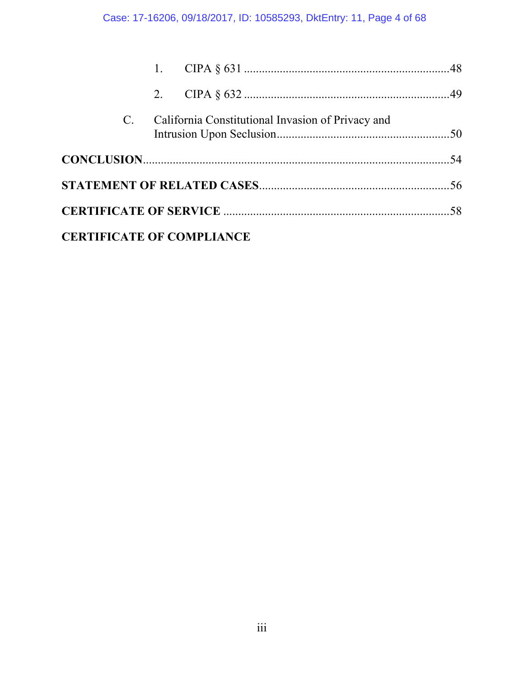## Case: 17-16206, 09/18/2017, ID: 10585293, DktEntry: 11, Page 4 of 68

|             | 2. |                                                   |  |
|-------------|----|---------------------------------------------------|--|
| $C_{\cdot}$ |    | California Constitutional Invasion of Privacy and |  |
|             |    |                                                   |  |
|             |    |                                                   |  |
|             |    |                                                   |  |
|             |    | <b>CERTIFICATE OF COMPLIANCE</b>                  |  |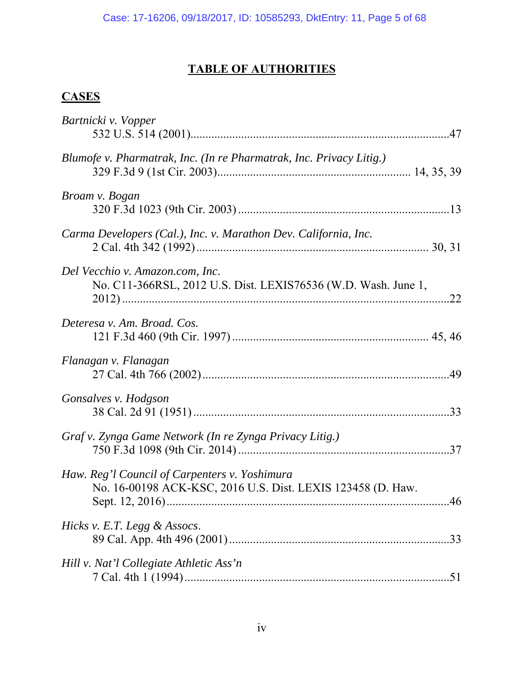# **TABLE OF AUTHORITIES**

# **CASES**

| Bartnicki v. Vopper                                                                                          |
|--------------------------------------------------------------------------------------------------------------|
| Blumofe v. Pharmatrak, Inc. (In re Pharmatrak, Inc. Privacy Litig.)                                          |
| Broam v. Bogan                                                                                               |
| Carma Developers (Cal.), Inc. v. Marathon Dev. California, Inc.                                              |
| Del Vecchio v. Amazon.com, Inc.<br>No. C11-366RSL, 2012 U.S. Dist. LEXIS76536 (W.D. Wash. June 1,            |
| Deteresa v. Am. Broad. Cos.                                                                                  |
| Flanagan v. Flanagan                                                                                         |
| Gonsalves v. Hodgson                                                                                         |
| Graf v. Zynga Game Network (In re Zynga Privacy Litig.)                                                      |
| Haw. Reg'l Council of Carpenters v. Yoshimura<br>No. 16-00198 ACK-KSC, 2016 U.S. Dist. LEXIS 123458 (D. Haw. |
| Hicks v. E.T. Legg & Assocs.                                                                                 |
| Hill v. Nat'l Collegiate Athletic Ass'n                                                                      |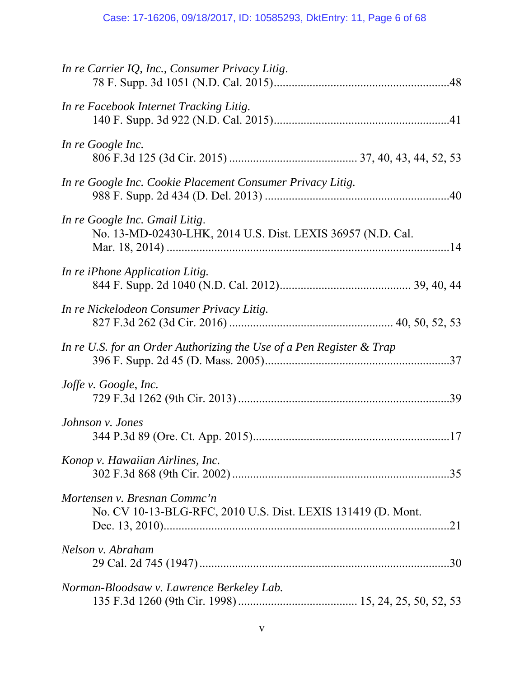| In re Carrier IQ, Inc., Consumer Privacy Litig.                                               |
|-----------------------------------------------------------------------------------------------|
| In re Facebook Internet Tracking Litig.                                                       |
| In re Google Inc.                                                                             |
| In re Google Inc. Cookie Placement Consumer Privacy Litig.                                    |
| In re Google Inc. Gmail Litig.<br>No. 13-MD-02430-LHK, 2014 U.S. Dist. LEXIS 36957 (N.D. Cal. |
| In re iPhone Application Litig.                                                               |
| In re Nickelodeon Consumer Privacy Litig.                                                     |
| In re U.S. for an Order Authorizing the Use of a Pen Register & Trap                          |
| Joffe v. Google, Inc.                                                                         |
| Johnson v. Jones                                                                              |
| Konop v. Hawaiian Airlines, Inc.                                                              |
| Mortensen v. Bresnan Commc'n<br>No. CV 10-13-BLG-RFC, 2010 U.S. Dist. LEXIS 131419 (D. Mont.  |
| Nelson v. Abraham                                                                             |
| Norman-Bloodsaw v. Lawrence Berkeley Lab.                                                     |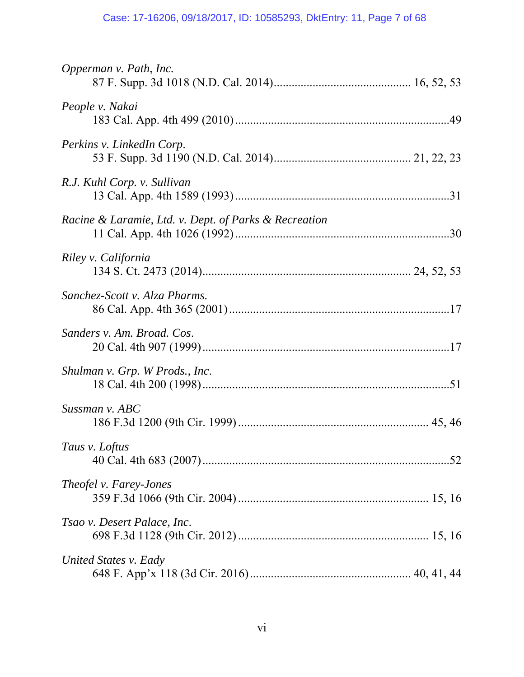## Case: 17-16206, 09/18/2017, ID: 10585293, DktEntry: 11, Page 7 of 68

| Opperman v. Path, Inc.                                |
|-------------------------------------------------------|
| People v. Nakai                                       |
| Perkins v. LinkedIn Corp.                             |
| R.J. Kuhl Corp. v. Sullivan                           |
| Racine & Laramie, Ltd. v. Dept. of Parks & Recreation |
| Riley v. California                                   |
| Sanchez-Scott v. Alza Pharms.                         |
| Sanders v. Am. Broad. Cos.                            |
| Shulman v. Grp. W Prods., Inc.                        |
| Sussman v. ABC                                        |
| Taus v. Loftus                                        |
| <i>Theofel v. Farey-Jones</i>                         |
| Tsao v. Desert Palace, Inc.                           |
| United States v. Eady                                 |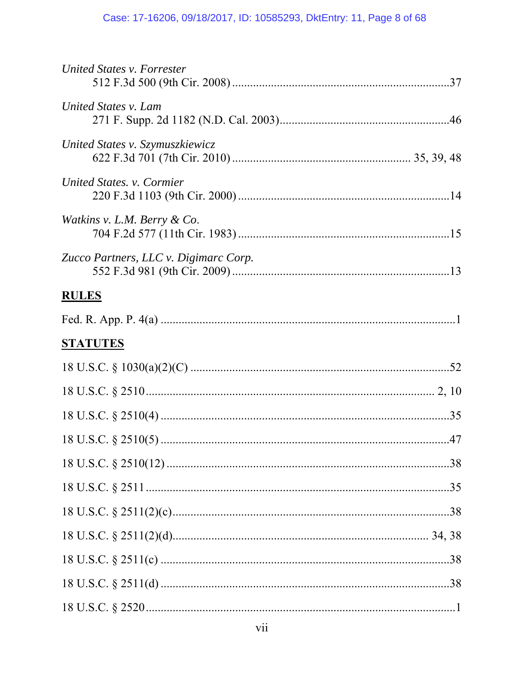## Case: 17-16206, 09/18/2017, ID: 10585293, DktEntry: 11, Page 8 of 68

| United States v. Forrester            |  |
|---------------------------------------|--|
| United States v. Lam                  |  |
| United States v. Szymuszkiewicz       |  |
| United States. v. Cormier             |  |
| Watkins v. L.M. Berry & Co.           |  |
| Zucco Partners, LLC v. Digimarc Corp. |  |
| <b>RULES</b>                          |  |
|                                       |  |
| <u>STATUTES</u>                       |  |
|                                       |  |
|                                       |  |
|                                       |  |
|                                       |  |
|                                       |  |
|                                       |  |
|                                       |  |
|                                       |  |
|                                       |  |
|                                       |  |
|                                       |  |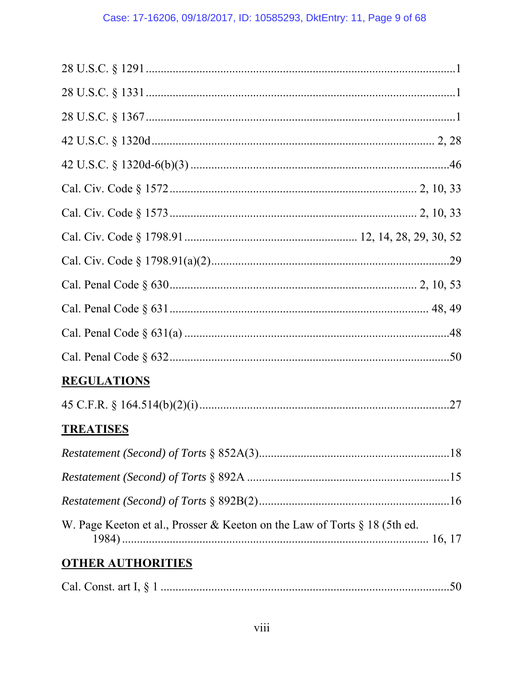| <b>REGULATIONS</b>                                                        |
|---------------------------------------------------------------------------|
|                                                                           |
| <b>TREATISES</b>                                                          |
|                                                                           |
|                                                                           |
|                                                                           |
| W. Page Keeton et al., Prosser & Keeton on the Law of Torts § 18 (5th ed. |
| <b>OTHER AUTHORITIES</b>                                                  |
|                                                                           |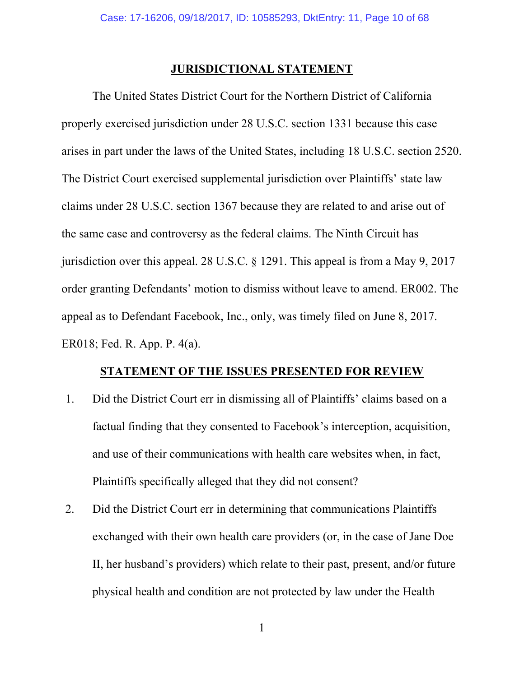#### **JURISDICTIONAL STATEMENT**

 The United States District Court for the Northern District of California properly exercised jurisdiction under 28 U.S.C. section 1331 because this case arises in part under the laws of the United States, including 18 U.S.C. section 2520. The District Court exercised supplemental jurisdiction over Plaintiffs' state law claims under 28 U.S.C. section 1367 because they are related to and arise out of the same case and controversy as the federal claims. The Ninth Circuit has jurisdiction over this appeal. 28 U.S.C. § 1291. This appeal is from a May 9, 2017 order granting Defendants' motion to dismiss without leave to amend. ER002. The appeal as to Defendant Facebook, Inc., only, was timely filed on June 8, 2017. ER018; Fed. R. App. P. 4(a).

#### **STATEMENT OF THE ISSUES PRESENTED FOR REVIEW**

- 1. Did the District Court err in dismissing all of Plaintiffs' claims based on a factual finding that they consented to Facebook's interception, acquisition, and use of their communications with health care websites when, in fact, Plaintiffs specifically alleged that they did not consent?
- 2. Did the District Court err in determining that communications Plaintiffs exchanged with their own health care providers (or, in the case of Jane Doe II, her husband's providers) which relate to their past, present, and/or future physical health and condition are not protected by law under the Health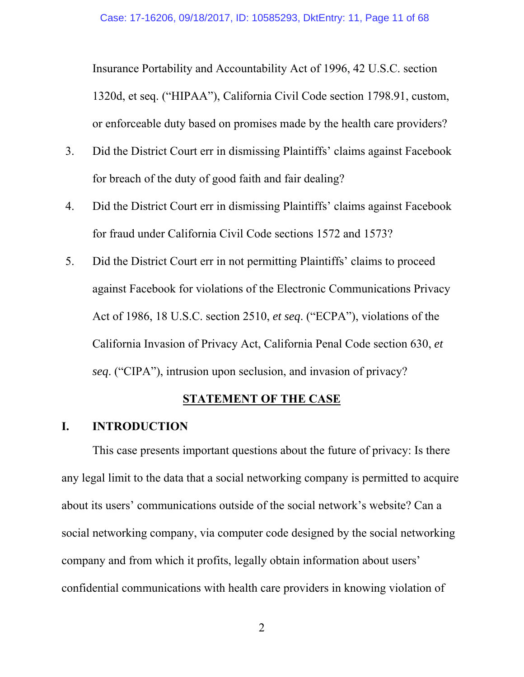Insurance Portability and Accountability Act of 1996, 42 U.S.C. section 1320d, et seq. ("HIPAA"), California Civil Code section 1798.91, custom, or enforceable duty based on promises made by the health care providers?

- 3. Did the District Court err in dismissing Plaintiffs' claims against Facebook for breach of the duty of good faith and fair dealing?
- 4. Did the District Court err in dismissing Plaintiffs' claims against Facebook for fraud under California Civil Code sections 1572 and 1573?
- 5. Did the District Court err in not permitting Plaintiffs' claims to proceed against Facebook for violations of the Electronic Communications Privacy Act of 1986, 18 U.S.C. section 2510, *et seq*. ("ECPA"), violations of the California Invasion of Privacy Act, California Penal Code section 630, *et seq*. ("CIPA"), intrusion upon seclusion, and invasion of privacy?

## **STATEMENT OF THE CASE**

### **I. INTRODUCTION**

 This case presents important questions about the future of privacy: Is there any legal limit to the data that a social networking company is permitted to acquire about its users' communications outside of the social network's website? Can a social networking company, via computer code designed by the social networking company and from which it profits, legally obtain information about users' confidential communications with health care providers in knowing violation of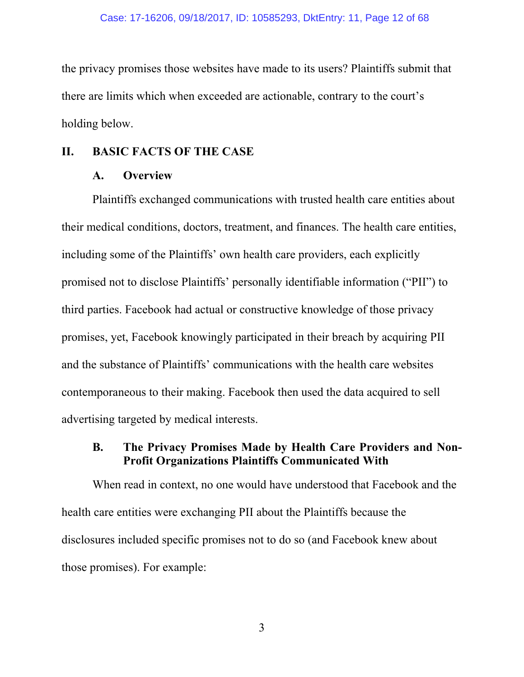the privacy promises those websites have made to its users? Plaintiffs submit that there are limits which when exceeded are actionable, contrary to the court's holding below.

### **II. BASIC FACTS OF THE CASE**

### **A. Overview**

 Plaintiffs exchanged communications with trusted health care entities about their medical conditions, doctors, treatment, and finances. The health care entities, including some of the Plaintiffs' own health care providers, each explicitly promised not to disclose Plaintiffs' personally identifiable information ("PII") to third parties. Facebook had actual or constructive knowledge of those privacy promises, yet, Facebook knowingly participated in their breach by acquiring PII and the substance of Plaintiffs' communications with the health care websites contemporaneous to their making. Facebook then used the data acquired to sell advertising targeted by medical interests.

## **B. The Privacy Promises Made by Health Care Providers and Non-Profit Organizations Plaintiffs Communicated With**

When read in context, no one would have understood that Facebook and the health care entities were exchanging PII about the Plaintiffs because the disclosures included specific promises not to do so (and Facebook knew about those promises). For example: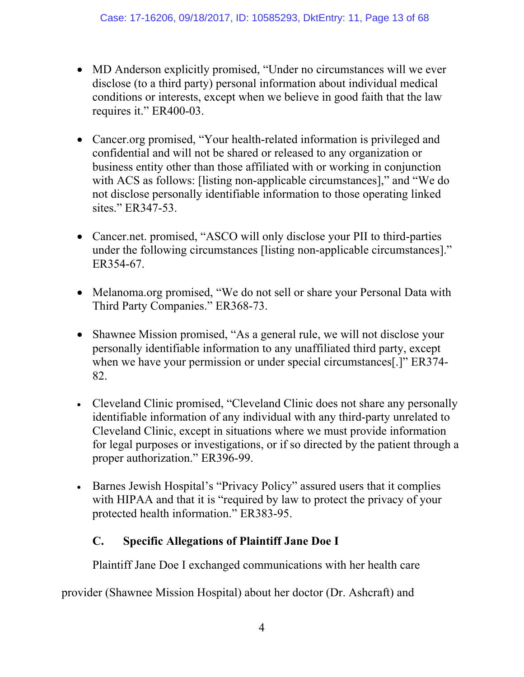- MD Anderson explicitly promised, "Under no circumstances will we ever disclose (to a third party) personal information about individual medical conditions or interests, except when we believe in good faith that the law requires it." ER400-03.
- Cancer.org promised, "Your health-related information is privileged and confidential and will not be shared or released to any organization or business entity other than those affiliated with or working in conjunction with ACS as follows: [listing non-applicable circumstances]," and "We do not disclose personally identifiable information to those operating linked sites." ER347-53.
- Cancer.net. promised, "ASCO will only disclose your PII to third-parties under the following circumstances [listing non-applicable circumstances]." ER354-67.
- Melanoma.org promised, "We do not sell or share your Personal Data with Third Party Companies." ER368-73.
- Shawnee Mission promised, "As a general rule, we will not disclose your personally identifiable information to any unaffiliated third party, except when we have your permission or under special circumstances[.]" ER374-82.
- Cleveland Clinic promised, "Cleveland Clinic does not share any personally identifiable information of any individual with any third-party unrelated to Cleveland Clinic, except in situations where we must provide information for legal purposes or investigations, or if so directed by the patient through a proper authorization." ER396-99.
- Barnes Jewish Hospital's "Privacy Policy" assured users that it complies with HIPAA and that it is "required by law to protect the privacy of your protected health information." ER383-95.

## **C. Specific Allegations of Plaintiff Jane Doe I**

Plaintiff Jane Doe I exchanged communications with her health care

provider (Shawnee Mission Hospital) about her doctor (Dr. Ashcraft) and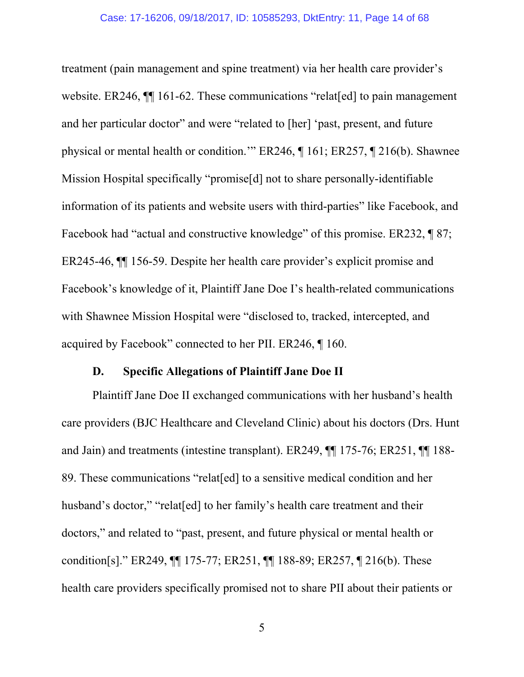treatment (pain management and spine treatment) via her health care provider's website. ER246,  $\P$  161-62. These communications "relat [ed] to pain management and her particular doctor" and were "related to [her] 'past, present, and future physical or mental health or condition.'" ER246, ¶ 161; ER257, ¶ 216(b). Shawnee Mission Hospital specifically "promise[d] not to share personally-identifiable information of its patients and website users with third-parties" like Facebook, and Facebook had "actual and constructive knowledge" of this promise. ER232, ¶ 87; ER245-46, ¶¶ 156-59. Despite her health care provider's explicit promise and Facebook's knowledge of it, Plaintiff Jane Doe I's health-related communications with Shawnee Mission Hospital were "disclosed to, tracked, intercepted, and acquired by Facebook" connected to her PII. ER246, ¶ 160.

#### **D. Specific Allegations of Plaintiff Jane Doe II**

 Plaintiff Jane Doe II exchanged communications with her husband's health care providers (BJC Healthcare and Cleveland Clinic) about his doctors (Drs. Hunt and Jain) and treatments (intestine transplant). ER249, ¶¶ 175-76; ER251, ¶¶ 188- 89. These communications "relat[ed] to a sensitive medical condition and her husband's doctor," "relat[ed] to her family's health care treatment and their doctors," and related to "past, present, and future physical or mental health or condition[s]." ER249, ¶¶ 175-77; ER251, ¶¶ 188-89; ER257, ¶ 216(b). These health care providers specifically promised not to share PII about their patients or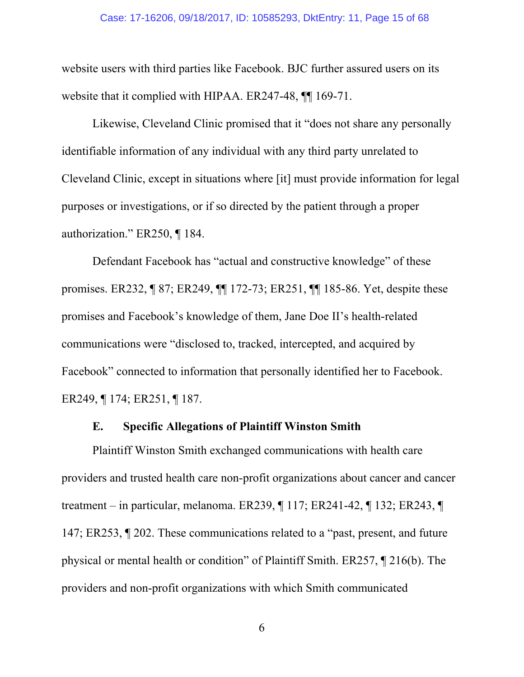#### Case: 17-16206, 09/18/2017, ID: 10585293, DktEntry: 11, Page 15 of 68

website users with third parties like Facebook. BJC further assured users on its website that it complied with HIPAA. ER247-48,  $\P$  169-71.

Likewise, Cleveland Clinic promised that it "does not share any personally identifiable information of any individual with any third party unrelated to Cleveland Clinic, except in situations where [it] must provide information for legal purposes or investigations, or if so directed by the patient through a proper authorization." ER250, ¶ 184.

Defendant Facebook has "actual and constructive knowledge" of these promises. ER232, ¶ 87; ER249, ¶¶ 172-73; ER251, ¶¶ 185-86. Yet, despite these promises and Facebook's knowledge of them, Jane Doe II's health-related communications were "disclosed to, tracked, intercepted, and acquired by Facebook" connected to information that personally identified her to Facebook. ER249, ¶ 174; ER251, ¶ 187.

#### **E. Specific Allegations of Plaintiff Winston Smith**

 Plaintiff Winston Smith exchanged communications with health care providers and trusted health care non-profit organizations about cancer and cancer treatment – in particular, melanoma. ER239, ¶ 117; ER241-42, ¶ 132; ER243, ¶ 147; ER253, ¶ 202. These communications related to a "past, present, and future physical or mental health or condition" of Plaintiff Smith. ER257, ¶ 216(b). The providers and non-profit organizations with which Smith communicated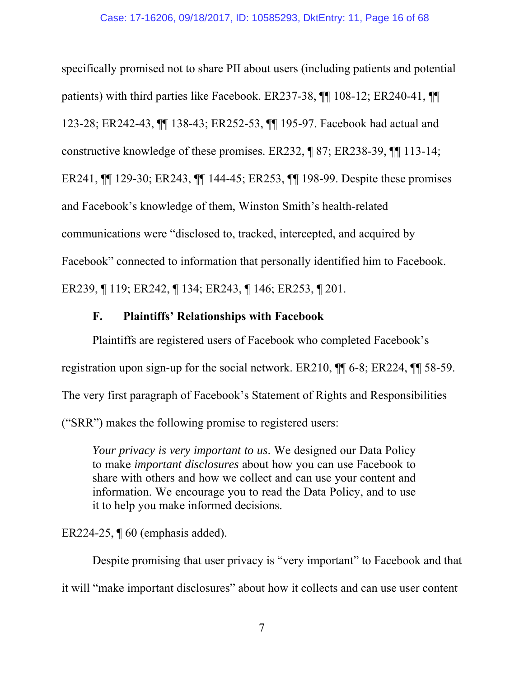specifically promised not to share PII about users (including patients and potential patients) with third parties like Facebook. ER237-38, ¶¶ 108-12; ER240-41, ¶¶ 123-28; ER242-43, ¶¶ 138-43; ER252-53, ¶¶ 195-97. Facebook had actual and constructive knowledge of these promises. ER232, ¶ 87; ER238-39, ¶¶ 113-14; ER241, ¶¶ 129-30; ER243, ¶¶ 144-45; ER253, ¶¶ 198-99. Despite these promises and Facebook's knowledge of them, Winston Smith's health-related communications were "disclosed to, tracked, intercepted, and acquired by Facebook" connected to information that personally identified him to Facebook. ER239, ¶ 119; ER242, ¶ 134; ER243, ¶ 146; ER253, ¶ 201.

## **F. Plaintiffs' Relationships with Facebook**

 Plaintiffs are registered users of Facebook who completed Facebook's registration upon sign-up for the social network. ER210, ¶¶ 6-8; ER224, ¶¶ 58-59. The very first paragraph of Facebook's Statement of Rights and Responsibilities ("SRR") makes the following promise to registered users:

*Your privacy is very important to us*. We designed our Data Policy to make *important disclosures* about how you can use Facebook to share with others and how we collect and can use your content and information. We encourage you to read the Data Policy, and to use it to help you make informed decisions.

ER224-25, ¶ 60 (emphasis added).

 Despite promising that user privacy is "very important" to Facebook and that it will "make important disclosures" about how it collects and can use user content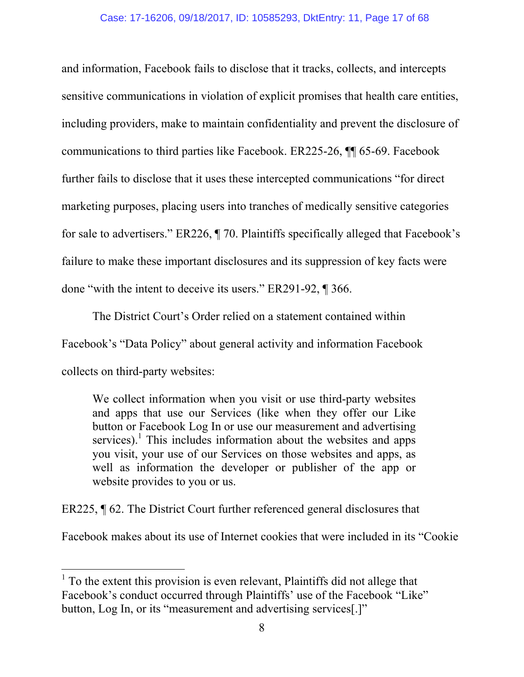and information, Facebook fails to disclose that it tracks, collects, and intercepts sensitive communications in violation of explicit promises that health care entities, including providers, make to maintain confidentiality and prevent the disclosure of communications to third parties like Facebook. ER225-26, ¶¶ 65-69. Facebook further fails to disclose that it uses these intercepted communications "for direct marketing purposes, placing users into tranches of medically sensitive categories for sale to advertisers." ER226, ¶ 70. Plaintiffs specifically alleged that Facebook's failure to make these important disclosures and its suppression of key facts were done "with the intent to deceive its users." ER291-92, ¶ 366.

 The District Court's Order relied on a statement contained within Facebook's "Data Policy" about general activity and information Facebook collects on third-party websites:

We collect information when you visit or use third-party websites and apps that use our Services (like when they offer our Like button or Facebook Log In or use our measurement and advertising services).<sup>1</sup> This includes information about the websites and apps you visit, your use of our Services on those websites and apps, as well as information the developer or publisher of the app or website provides to you or us.

ER225, ¶ 62. The District Court further referenced general disclosures that

Facebook makes about its use of Internet cookies that were included in its "Cookie

 $1$  To the extent this provision is even relevant, Plaintiffs did not allege that Facebook's conduct occurred through Plaintiffs' use of the Facebook "Like" button, Log In, or its "measurement and advertising services[.]"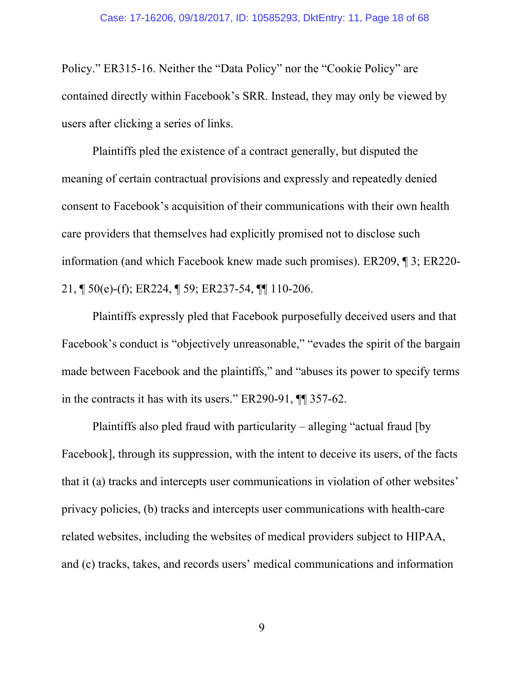#### Case: 17-16206, 09/18/2017, ID: 10585293, DktEntry: 11, Page 18 of 68

Policy." ER315-16. Neither the "Data Policy" nor the "Cookie Policy" are contained directly within Facebook's SRR. Instead, they may only be viewed by users after clicking a series of links.

 Plaintiffs pled the existence of a contract generally, but disputed the meaning of certain contractual provisions and expressly and repeatedly denied consent to Facebook's acquisition of their communications with their own health care providers that themselves had explicitly promised not to disclose such information (and which Facebook knew made such promises). ER209, ¶ 3; ER220- 21, ¶ 50(e)-(f); ER224, ¶ 59; ER237-54, ¶¶ 110-206.

 Plaintiffs expressly pled that Facebook purposefully deceived users and that Facebook's conduct is "objectively unreasonable," "evades the spirit of the bargain made between Facebook and the plaintiffs," and "abuses its power to specify terms in the contracts it has with its users." ER290-91, ¶¶ 357-62.

 Plaintiffs also pled fraud with particularity – alleging "actual fraud [by Facebook], through its suppression, with the intent to deceive its users, of the facts that it (a) tracks and intercepts user communications in violation of other websites' privacy policies, (b) tracks and intercepts user communications with health-care related websites, including the websites of medical providers subject to HIPAA, and (c) tracks, takes, and records users' medical communications and information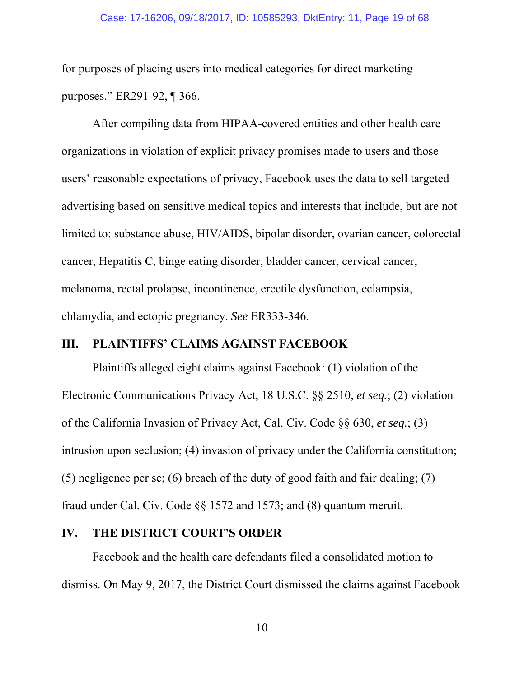#### Case: 17-16206, 09/18/2017, ID: 10585293, DktEntry: 11, Page 19 of 68

for purposes of placing users into medical categories for direct marketing purposes." ER291-92, ¶ 366.

 After compiling data from HIPAA-covered entities and other health care organizations in violation of explicit privacy promises made to users and those users' reasonable expectations of privacy, Facebook uses the data to sell targeted advertising based on sensitive medical topics and interests that include, but are not limited to: substance abuse, HIV/AIDS, bipolar disorder, ovarian cancer, colorectal cancer, Hepatitis C, binge eating disorder, bladder cancer, cervical cancer, melanoma, rectal prolapse, incontinence, erectile dysfunction, eclampsia, chlamydia, and ectopic pregnancy. *See* ER333-346.

#### **III. PLAINTIFFS' CLAIMS AGAINST FACEBOOK**

Plaintiffs alleged eight claims against Facebook: (1) violation of the Electronic Communications Privacy Act, 18 U.S.C. §§ 2510, *et seq.*; (2) violation of the California Invasion of Privacy Act, Cal. Civ. Code §§ 630, *et seq.*; (3) intrusion upon seclusion; (4) invasion of privacy under the California constitution; (5) negligence per se; (6) breach of the duty of good faith and fair dealing; (7) fraud under Cal. Civ. Code §§ 1572 and 1573; and (8) quantum meruit.

### **IV. THE DISTRICT COURT'S ORDER**

Facebook and the health care defendants filed a consolidated motion to dismiss. On May 9, 2017, the District Court dismissed the claims against Facebook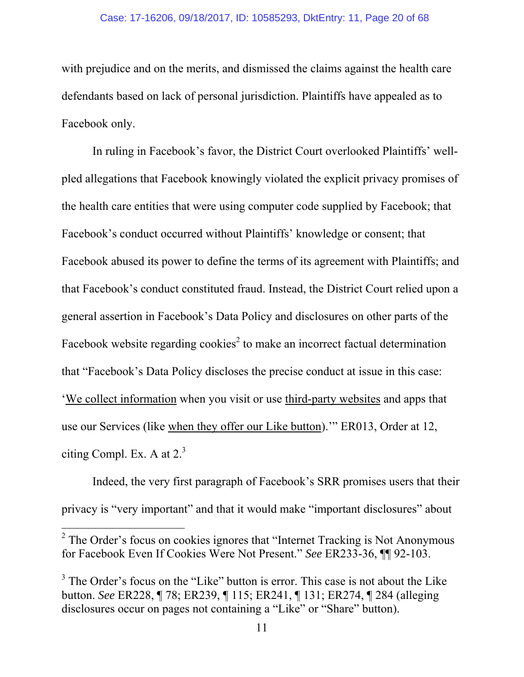#### Case: 17-16206, 09/18/2017, ID: 10585293, DktEntry: 11, Page 20 of 68

with prejudice and on the merits, and dismissed the claims against the health care defendants based on lack of personal jurisdiction. Plaintiffs have appealed as to Facebook only.

In ruling in Facebook's favor, the District Court overlooked Plaintiffs' wellpled allegations that Facebook knowingly violated the explicit privacy promises of the health care entities that were using computer code supplied by Facebook; that Facebook's conduct occurred without Plaintiffs' knowledge or consent; that Facebook abused its power to define the terms of its agreement with Plaintiffs; and that Facebook's conduct constituted fraud. Instead, the District Court relied upon a general assertion in Facebook's Data Policy and disclosures on other parts of the Facebook website regarding cookies<sup>2</sup> to make an incorrect factual determination that "Facebook's Data Policy discloses the precise conduct at issue in this case: 'We collect information when you visit or use third-party websites and apps that use our Services (like when they offer our Like button).'" ER013, Order at 12, citing Compl. Ex. A at  $2<sup>3</sup>$ 

Indeed, the very first paragraph of Facebook's SRR promises users that their privacy is "very important" and that it would make "important disclosures" about

 $2^2$  The Order's focus on cookies ignores that "Internet Tracking is Not Anonymous" for Facebook Even If Cookies Were Not Present." *See* ER233-36, ¶¶ 92-103.

 $3$  The Order's focus on the "Like" button is error. This case is not about the Like button. *See* ER228, ¶ 78; ER239, ¶ 115; ER241, ¶ 131; ER274, ¶ 284 (alleging disclosures occur on pages not containing a "Like" or "Share" button).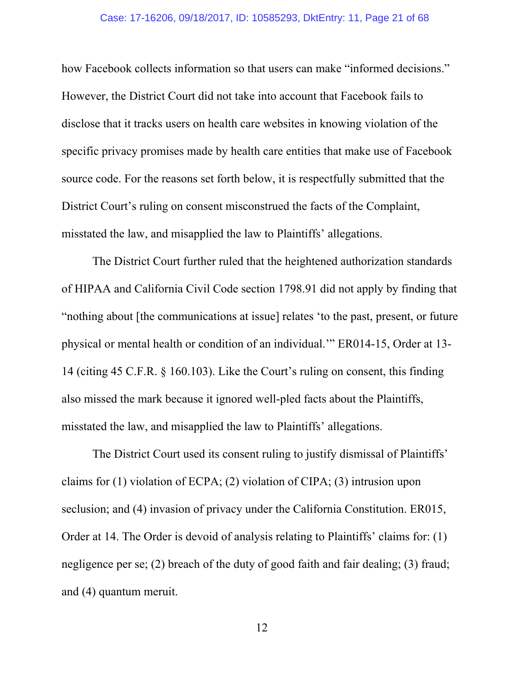#### Case: 17-16206, 09/18/2017, ID: 10585293, DktEntry: 11, Page 21 of 68

how Facebook collects information so that users can make "informed decisions." However, the District Court did not take into account that Facebook fails to disclose that it tracks users on health care websites in knowing violation of the specific privacy promises made by health care entities that make use of Facebook source code. For the reasons set forth below, it is respectfully submitted that the District Court's ruling on consent misconstrued the facts of the Complaint, misstated the law, and misapplied the law to Plaintiffs' allegations.

The District Court further ruled that the heightened authorization standards of HIPAA and California Civil Code section 1798.91 did not apply by finding that "nothing about [the communications at issue] relates 'to the past, present, or future physical or mental health or condition of an individual.'" ER014-15, Order at 13- 14 (citing 45 C.F.R. § 160.103). Like the Court's ruling on consent, this finding also missed the mark because it ignored well-pled facts about the Plaintiffs, misstated the law, and misapplied the law to Plaintiffs' allegations.

The District Court used its consent ruling to justify dismissal of Plaintiffs' claims for (1) violation of ECPA; (2) violation of CIPA; (3) intrusion upon seclusion; and (4) invasion of privacy under the California Constitution. ER015, Order at 14. The Order is devoid of analysis relating to Plaintiffs' claims for: (1) negligence per se; (2) breach of the duty of good faith and fair dealing; (3) fraud; and (4) quantum meruit.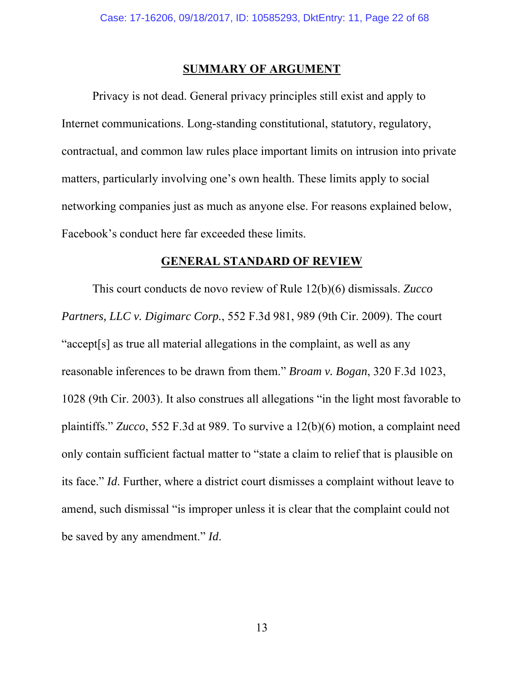#### **SUMMARY OF ARGUMENT**

 Privacy is not dead. General privacy principles still exist and apply to Internet communications. Long-standing constitutional, statutory, regulatory, contractual, and common law rules place important limits on intrusion into private matters, particularly involving one's own health. These limits apply to social networking companies just as much as anyone else. For reasons explained below, Facebook's conduct here far exceeded these limits.

#### **GENERAL STANDARD OF REVIEW**

 This court conducts de novo review of Rule 12(b)(6) dismissals. *Zucco Partners, LLC v. Digimarc Corp.*, 552 F.3d 981, 989 (9th Cir. 2009). The court "accept[s] as true all material allegations in the complaint, as well as any reasonable inferences to be drawn from them." *Broam v. Bogan*, 320 F.3d 1023, 1028 (9th Cir. 2003). It also construes all allegations "in the light most favorable to plaintiffs." *Zucco*, 552 F.3d at 989. To survive a 12(b)(6) motion, a complaint need only contain sufficient factual matter to "state a claim to relief that is plausible on its face." *Id*. Further, where a district court dismisses a complaint without leave to amend, such dismissal "is improper unless it is clear that the complaint could not be saved by any amendment." *Id*.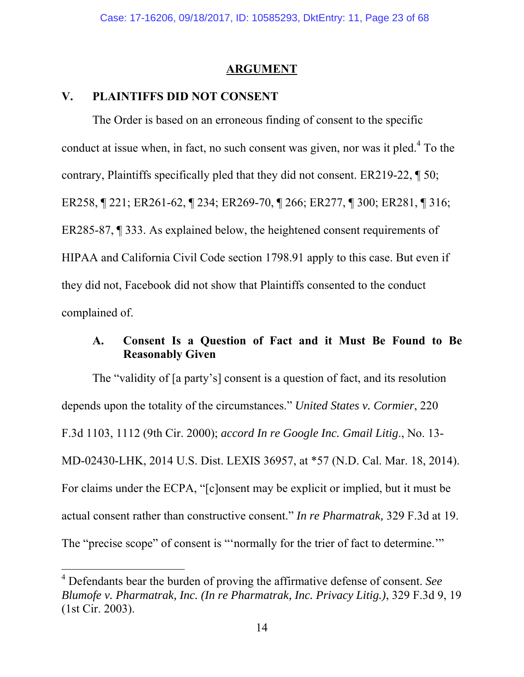#### **ARGUMENT**

### **V. PLAINTIFFS DID NOT CONSENT**

 $\overline{a}$ 

The Order is based on an erroneous finding of consent to the specific conduct at issue when, in fact, no such consent was given, nor was it pled.<sup>4</sup> To the contrary, Plaintiffs specifically pled that they did not consent. ER219-22, ¶ 50; ER258, ¶ 221; ER261-62, ¶ 234; ER269-70, ¶ 266; ER277, ¶ 300; ER281, ¶ 316; ER285-87, ¶ 333. As explained below, the heightened consent requirements of HIPAA and California Civil Code section 1798.91 apply to this case. But even if they did not, Facebook did not show that Plaintiffs consented to the conduct complained of.

## **A. Consent Is a Question of Fact and it Must Be Found to Be Reasonably Given**

The "validity of [a party's] consent is a question of fact, and its resolution depends upon the totality of the circumstances." *United States v. Cormier*, 220 F.3d 1103, 1112 (9th Cir. 2000); *accord In re Google Inc. Gmail Litig*., No. 13- MD-02430-LHK, 2014 U.S. Dist. LEXIS 36957, at \*57 (N.D. Cal. Mar. 18, 2014). For claims under the ECPA, "[c]onsent may be explicit or implied, but it must be actual consent rather than constructive consent." *In re Pharmatrak,* 329 F.3d at 19. The "precise scope" of consent is "'normally for the trier of fact to determine.'"

<sup>4</sup> Defendants bear the burden of proving the affirmative defense of consent. *See Blumofe v. Pharmatrak, Inc. (In re Pharmatrak, Inc. Privacy Litig.)*, 329 F.3d 9, 19 (1st Cir. 2003).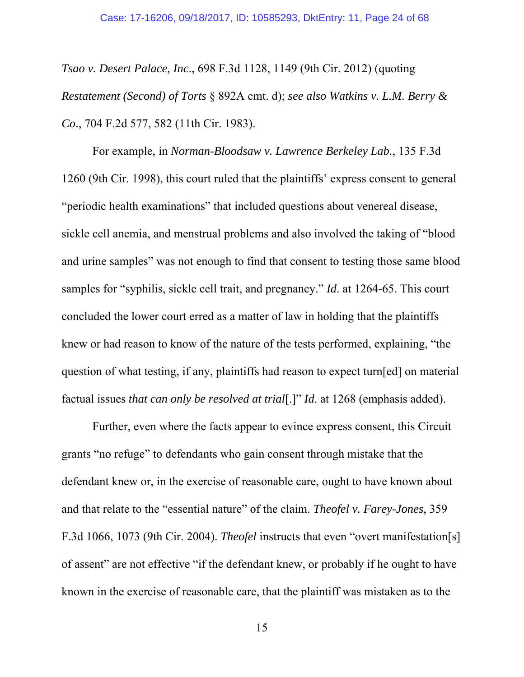*Tsao v. Desert Palace, Inc*., 698 F.3d 1128, 1149 (9th Cir. 2012) (quoting *Restatement (Second) of Torts* § 892A cmt. d); *see also Watkins v. L.M. Berry & Co*., 704 F.2d 577, 582 (11th Cir. 1983).

For example, in *Norman-Bloodsaw v. Lawrence Berkeley Lab.*, 135 F.3d 1260 (9th Cir. 1998), this court ruled that the plaintiffs' express consent to general "periodic health examinations" that included questions about venereal disease, sickle cell anemia, and menstrual problems and also involved the taking of "blood and urine samples" was not enough to find that consent to testing those same blood samples for "syphilis, sickle cell trait, and pregnancy." *Id*. at 1264-65. This court concluded the lower court erred as a matter of law in holding that the plaintiffs knew or had reason to know of the nature of the tests performed, explaining, "the question of what testing, if any, plaintiffs had reason to expect turn[ed] on material factual issues *that can only be resolved at trial*[.]" *Id*. at 1268 (emphasis added).

Further, even where the facts appear to evince express consent, this Circuit grants "no refuge" to defendants who gain consent through mistake that the defendant knew or, in the exercise of reasonable care, ought to have known about and that relate to the "essential nature" of the claim. *Theofel v. Farey-Jones*, 359 F.3d 1066, 1073 (9th Cir. 2004). *Theofel* instructs that even "overt manifestation[s] of assent" are not effective "if the defendant knew, or probably if he ought to have known in the exercise of reasonable care, that the plaintiff was mistaken as to the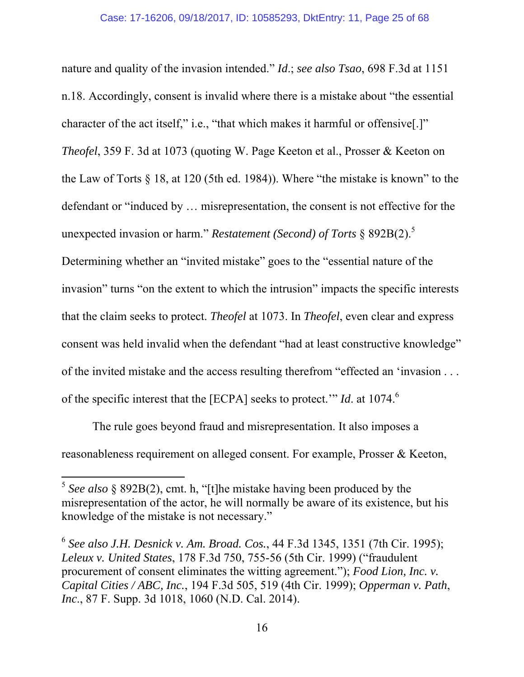nature and quality of the invasion intended." *Id*.; *see also Tsao*, 698 F.3d at 1151 n.18. Accordingly, consent is invalid where there is a mistake about "the essential character of the act itself," i.e., "that which makes it harmful or offensive[.]" *Theofel*, 359 F. 3d at 1073 (quoting W. Page Keeton et al., Prosser & Keeton on the Law of Torts § 18, at 120 (5th ed. 1984)). Where "the mistake is known" to the defendant or "induced by … misrepresentation, the consent is not effective for the unexpected invasion or harm." *Restatement (Second) of Torts* § 892B(2).5

Determining whether an "invited mistake" goes to the "essential nature of the invasion" turns "on the extent to which the intrusion" impacts the specific interests that the claim seeks to protect. *Theofel* at 1073. In *Theofel*, even clear and express consent was held invalid when the defendant "had at least constructive knowledge" of the invited mistake and the access resulting therefrom "effected an 'invasion . . . of the specific interest that the [ECPA] seeks to protect." *Id.* at 1074.<sup>6</sup>

The rule goes beyond fraud and misrepresentation. It also imposes a reasonableness requirement on alleged consent. For example, Prosser & Keeton,

 $5$  *See also* § 892B(2), cmt. h, "[t]he mistake having been produced by the misrepresentation of the actor, he will normally be aware of its existence, but his knowledge of the mistake is not necessary."

<sup>6</sup> *See also J.H. Desnick v. Am. Broad. Cos.*, 44 F.3d 1345, 1351 (7th Cir. 1995); *Leleux v. United States*, 178 F.3d 750, 755-56 (5th Cir. 1999) ("fraudulent procurement of consent eliminates the witting agreement."); *Food Lion, Inc. v. Capital Cities / ABC, Inc.*, 194 F.3d 505, 519 (4th Cir. 1999); *Opperman v. Path*, *Inc*., 87 F. Supp. 3d 1018, 1060 (N.D. Cal. 2014).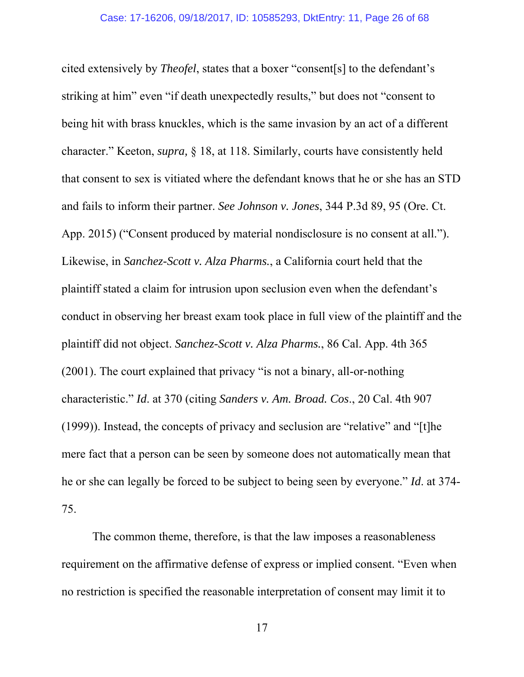cited extensively by *Theofel*, states that a boxer "consent[s] to the defendant's striking at him" even "if death unexpectedly results," but does not "consent to being hit with brass knuckles, which is the same invasion by an act of a different character." Keeton, *supra,* § 18, at 118. Similarly, courts have consistently held that consent to sex is vitiated where the defendant knows that he or she has an STD and fails to inform their partner. *See Johnson v. Jones*, 344 P.3d 89, 95 (Ore. Ct. App. 2015) ("Consent produced by material nondisclosure is no consent at all."). Likewise, in *Sanchez-Scott v. Alza Pharms.*, a California court held that the plaintiff stated a claim for intrusion upon seclusion even when the defendant's conduct in observing her breast exam took place in full view of the plaintiff and the plaintiff did not object. *Sanchez-Scott v. Alza Pharms.*, 86 Cal. App. 4th 365 (2001). The court explained that privacy "is not a binary, all-or-nothing characteristic." *Id*. at 370 (citing *Sanders v. Am. Broad. Cos*., 20 Cal. 4th 907 (1999)). Instead, the concepts of privacy and seclusion are "relative" and "[t]he mere fact that a person can be seen by someone does not automatically mean that he or she can legally be forced to be subject to being seen by everyone." *Id*. at 374- 75.

The common theme, therefore, is that the law imposes a reasonableness requirement on the affirmative defense of express or implied consent. "Even when no restriction is specified the reasonable interpretation of consent may limit it to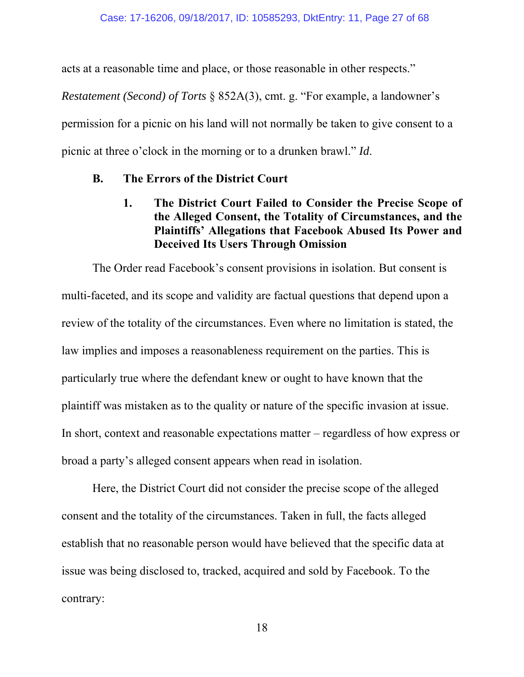acts at a reasonable time and place, or those reasonable in other respects."

*Restatement (Second) of Torts* § 852A(3), cmt. g. "For example, a landowner's permission for a picnic on his land will not normally be taken to give consent to a picnic at three o'clock in the morning or to a drunken brawl." *Id*.

## **B. The Errors of the District Court**

## **1. The District Court Failed to Consider the Precise Scope of the Alleged Consent, the Totality of Circumstances, and the Plaintiffs' Allegations that Facebook Abused Its Power and Deceived Its Users Through Omission**

The Order read Facebook's consent provisions in isolation. But consent is multi-faceted, and its scope and validity are factual questions that depend upon a review of the totality of the circumstances. Even where no limitation is stated, the law implies and imposes a reasonableness requirement on the parties. This is particularly true where the defendant knew or ought to have known that the plaintiff was mistaken as to the quality or nature of the specific invasion at issue. In short, context and reasonable expectations matter – regardless of how express or broad a party's alleged consent appears when read in isolation.

Here, the District Court did not consider the precise scope of the alleged consent and the totality of the circumstances. Taken in full, the facts alleged establish that no reasonable person would have believed that the specific data at issue was being disclosed to, tracked, acquired and sold by Facebook. To the contrary: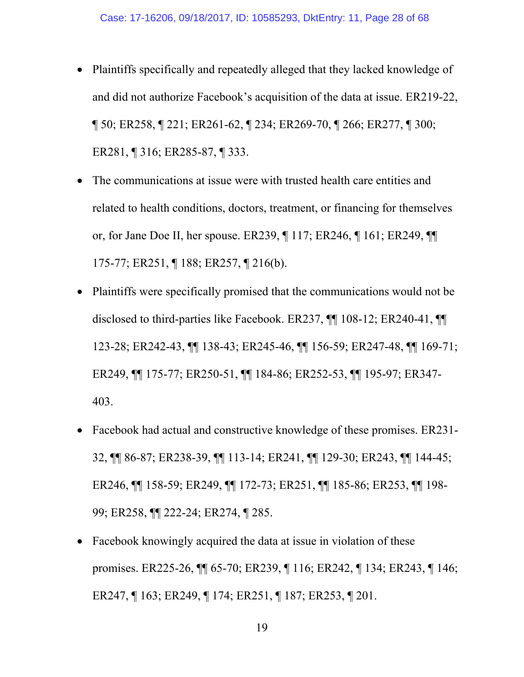- Plaintiffs specifically and repeatedly alleged that they lacked knowledge of and did not authorize Facebook's acquisition of the data at issue. ER219-22, ¶ 50; ER258, ¶ 221; ER261-62, ¶ 234; ER269-70, ¶ 266; ER277, ¶ 300; ER281, ¶ 316; ER285-87, ¶ 333.
- The communications at issue were with trusted health care entities and related to health conditions, doctors, treatment, or financing for themselves or, for Jane Doe II, her spouse. ER239, ¶ 117; ER246, ¶ 161; ER249, ¶¶ 175-77; ER251, ¶ 188; ER257, ¶ 216(b).
- Plaintiffs were specifically promised that the communications would not be disclosed to third-parties like Facebook. ER237, ¶¶ 108-12; ER240-41, ¶¶ 123-28; ER242-43, ¶¶ 138-43; ER245-46, ¶¶ 156-59; ER247-48, ¶¶ 169-71; ER249, ¶¶ 175-77; ER250-51, ¶¶ 184-86; ER252-53, ¶¶ 195-97; ER347- 403.
- Facebook had actual and constructive knowledge of these promises. ER231- 32, ¶¶ 86-87; ER238-39, ¶¶ 113-14; ER241, ¶¶ 129-30; ER243, ¶¶ 144-45; ER246, ¶¶ 158-59; ER249, ¶¶ 172-73; ER251, ¶¶ 185-86; ER253, ¶¶ 198- 99; ER258, ¶¶ 222-24; ER274, ¶ 285.
- Facebook knowingly acquired the data at issue in violation of these promises. ER225-26, ¶¶ 65-70; ER239, ¶ 116; ER242, ¶ 134; ER243, ¶ 146; ER247, ¶ 163; ER249, ¶ 174; ER251, ¶ 187; ER253, ¶ 201.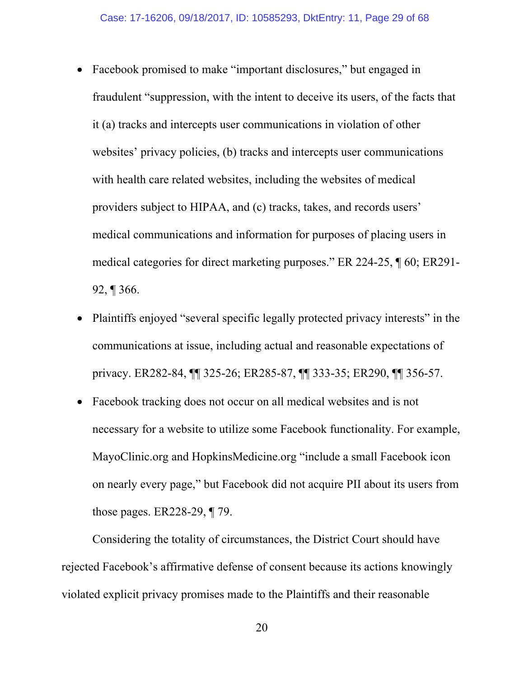- Facebook promised to make "important disclosures," but engaged in fraudulent "suppression, with the intent to deceive its users, of the facts that it (a) tracks and intercepts user communications in violation of other websites' privacy policies, (b) tracks and intercepts user communications with health care related websites, including the websites of medical providers subject to HIPAA, and (c) tracks, takes, and records users' medical communications and information for purposes of placing users in medical categories for direct marketing purposes." ER 224-25, ¶ 60; ER291- 92, ¶ 366.
- Plaintiffs enjoyed "several specific legally protected privacy interests" in the communications at issue, including actual and reasonable expectations of privacy. ER282-84, ¶¶ 325-26; ER285-87, ¶¶ 333-35; ER290, ¶¶ 356-57.
- Facebook tracking does not occur on all medical websites and is not necessary for a website to utilize some Facebook functionality. For example, MayoClinic.org and HopkinsMedicine.org "include a small Facebook icon on nearly every page," but Facebook did not acquire PII about its users from those pages. ER228-29, ¶ 79.

 Considering the totality of circumstances, the District Court should have rejected Facebook's affirmative defense of consent because its actions knowingly violated explicit privacy promises made to the Plaintiffs and their reasonable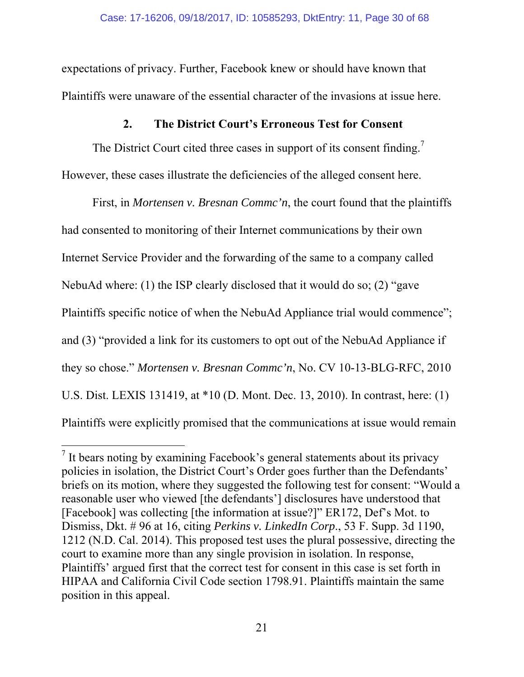expectations of privacy. Further, Facebook knew or should have known that Plaintiffs were unaware of the essential character of the invasions at issue here.

## **2. The District Court's Erroneous Test for Consent**

The District Court cited three cases in support of its consent finding.<sup>7</sup> However, these cases illustrate the deficiencies of the alleged consent here.

 First, in *Mortensen v. Bresnan Commc'n*, the court found that the plaintiffs had consented to monitoring of their Internet communications by their own Internet Service Provider and the forwarding of the same to a company called NebuAd where: (1) the ISP clearly disclosed that it would do so; (2) "gave Plaintiffs specific notice of when the NebuAd Appliance trial would commence"; and (3) "provided a link for its customers to opt out of the NebuAd Appliance if they so chose." *Mortensen v. Bresnan Commc'n*, No. CV 10-13-BLG-RFC, 2010 U.S. Dist. LEXIS 131419, at \*10 (D. Mont. Dec. 13, 2010). In contrast, here: (1) Plaintiffs were explicitly promised that the communications at issue would remain

 $<sup>7</sup>$  It bears noting by examining Facebook's general statements about its privacy</sup> policies in isolation, the District Court's Order goes further than the Defendants' briefs on its motion, where they suggested the following test for consent: "Would a reasonable user who viewed [the defendants'] disclosures have understood that [Facebook] was collecting [the information at issue?]" ER172, Def's Mot. to Dismiss, Dkt. # 96 at 16, citing *Perkins v. LinkedIn Corp*., 53 F. Supp. 3d 1190, 1212 (N.D. Cal. 2014). This proposed test uses the plural possessive, directing the court to examine more than any single provision in isolation. In response, Plaintiffs' argued first that the correct test for consent in this case is set forth in HIPAA and California Civil Code section 1798.91. Plaintiffs maintain the same position in this appeal.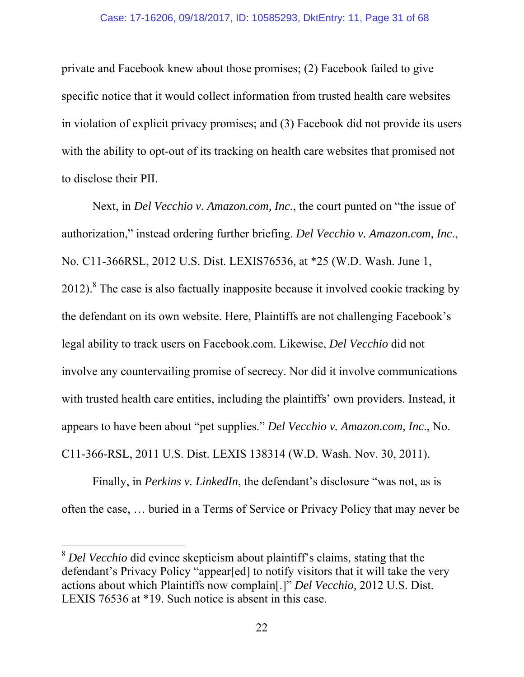private and Facebook knew about those promises; (2) Facebook failed to give specific notice that it would collect information from trusted health care websites in violation of explicit privacy promises; and (3) Facebook did not provide its users with the ability to opt-out of its tracking on health care websites that promised not to disclose their PII.

 Next, in *Del Vecchio v. Amazon.com, Inc*., the court punted on "the issue of authorization," instead ordering further briefing. *Del Vecchio v. Amazon.com, Inc*., No. C11-366RSL, 2012 U.S. Dist. LEXIS76536, at \*25 (W.D. Wash. June 1,  $2012$ ).<sup>8</sup> The case is also factually inapposite because it involved cookie tracking by the defendant on its own website. Here, Plaintiffs are not challenging Facebook's legal ability to track users on Facebook.com. Likewise, *Del Vecchio* did not involve any countervailing promise of secrecy. Nor did it involve communications with trusted health care entities, including the plaintiffs' own providers. Instead, it appears to have been about "pet supplies." *Del Vecchio v. Amazon.com, Inc*., No. C11-366-RSL, 2011 U.S. Dist. LEXIS 138314 (W.D. Wash. Nov. 30, 2011).

 Finally, in *Perkins v. LinkedIn*, the defendant's disclosure "was not, as is often the case, … buried in a Terms of Service or Privacy Policy that may never be

<sup>&</sup>lt;sup>8</sup> *Del Vecchio* did evince skepticism about plaintiff's claims, stating that the defendant's Privacy Policy "appear[ed] to notify visitors that it will take the very actions about which Plaintiffs now complain[.]" *Del Vecchio,* 2012 U.S. Dist. LEXIS 76536 at \*19. Such notice is absent in this case.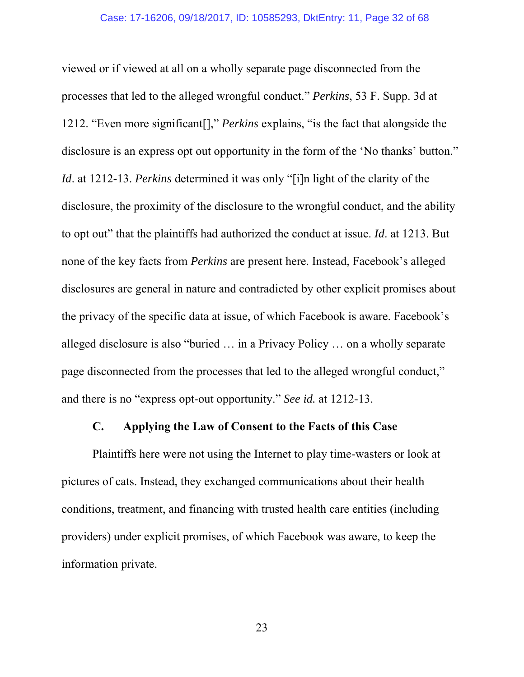viewed or if viewed at all on a wholly separate page disconnected from the processes that led to the alleged wrongful conduct." *Perkins*, 53 F. Supp. 3d at 1212. "Even more significant[]," *Perkins* explains, "is the fact that alongside the disclosure is an express opt out opportunity in the form of the 'No thanks' button." *Id*. at 1212-13. *Perkins* determined it was only "[i]n light of the clarity of the disclosure, the proximity of the disclosure to the wrongful conduct, and the ability to opt out" that the plaintiffs had authorized the conduct at issue. *Id*. at 1213. But none of the key facts from *Perkins* are present here. Instead, Facebook's alleged disclosures are general in nature and contradicted by other explicit promises about the privacy of the specific data at issue, of which Facebook is aware. Facebook's alleged disclosure is also "buried … in a Privacy Policy … on a wholly separate page disconnected from the processes that led to the alleged wrongful conduct," and there is no "express opt-out opportunity." *See id.* at 1212-13.

## **C. Applying the Law of Consent to the Facts of this Case**

 Plaintiffs here were not using the Internet to play time-wasters or look at pictures of cats. Instead, they exchanged communications about their health conditions, treatment, and financing with trusted health care entities (including providers) under explicit promises, of which Facebook was aware, to keep the information private.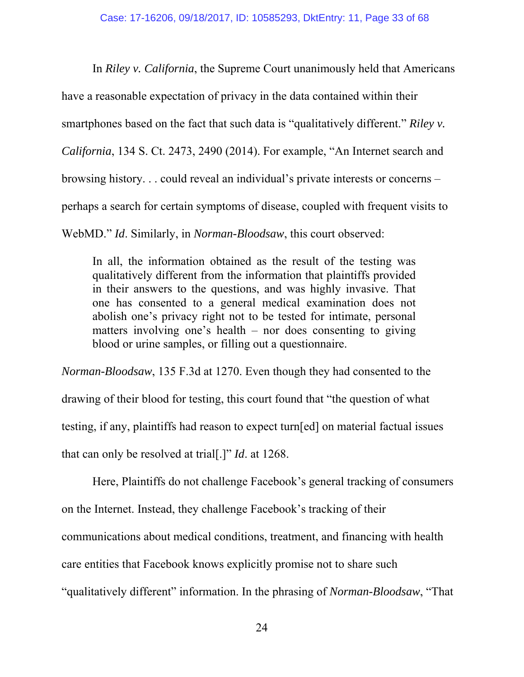In *Riley v. California*, the Supreme Court unanimously held that Americans have a reasonable expectation of privacy in the data contained within their smartphones based on the fact that such data is "qualitatively different." *Riley v. California*, 134 S. Ct. 2473, 2490 (2014). For example, "An Internet search and browsing history. . . could reveal an individual's private interests or concerns – perhaps a search for certain symptoms of disease, coupled with frequent visits to WebMD." *Id*. Similarly, in *Norman-Bloodsaw*, this court observed:

In all, the information obtained as the result of the testing was qualitatively different from the information that plaintiffs provided in their answers to the questions, and was highly invasive. That one has consented to a general medical examination does not abolish one's privacy right not to be tested for intimate, personal matters involving one's health – nor does consenting to giving blood or urine samples, or filling out a questionnaire.

*Norman-Bloodsaw*, 135 F.3d at 1270. Even though they had consented to the drawing of their blood for testing, this court found that "the question of what testing, if any, plaintiffs had reason to expect turn[ed] on material factual issues that can only be resolved at trial[.]" *Id*. at 1268.

 Here, Plaintiffs do not challenge Facebook's general tracking of consumers on the Internet. Instead, they challenge Facebook's tracking of their communications about medical conditions, treatment, and financing with health care entities that Facebook knows explicitly promise not to share such "qualitatively different" information. In the phrasing of *Norman-Bloodsaw*, "That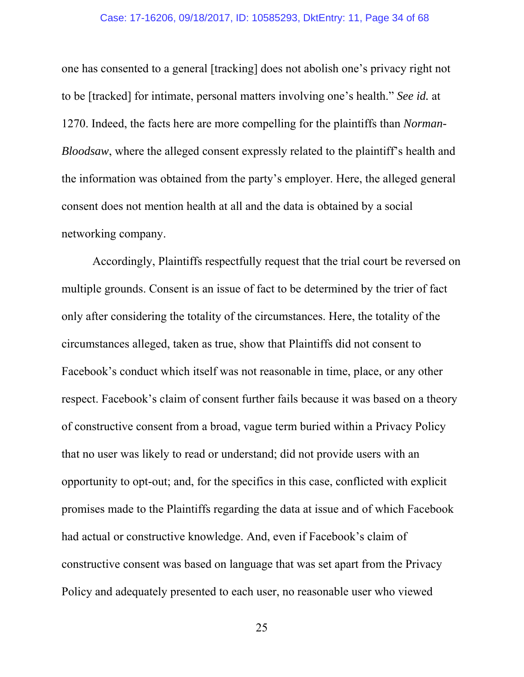#### Case: 17-16206, 09/18/2017, ID: 10585293, DktEntry: 11, Page 34 of 68

one has consented to a general [tracking] does not abolish one's privacy right not to be [tracked] for intimate, personal matters involving one's health." *See id.* at 1270. Indeed, the facts here are more compelling for the plaintiffs than *Norman-Bloodsaw*, where the alleged consent expressly related to the plaintiff's health and the information was obtained from the party's employer. Here, the alleged general consent does not mention health at all and the data is obtained by a social networking company.

Accordingly, Plaintiffs respectfully request that the trial court be reversed on multiple grounds. Consent is an issue of fact to be determined by the trier of fact only after considering the totality of the circumstances. Here, the totality of the circumstances alleged, taken as true, show that Plaintiffs did not consent to Facebook's conduct which itself was not reasonable in time, place, or any other respect. Facebook's claim of consent further fails because it was based on a theory of constructive consent from a broad, vague term buried within a Privacy Policy that no user was likely to read or understand; did not provide users with an opportunity to opt-out; and, for the specifics in this case, conflicted with explicit promises made to the Plaintiffs regarding the data at issue and of which Facebook had actual or constructive knowledge. And, even if Facebook's claim of constructive consent was based on language that was set apart from the Privacy Policy and adequately presented to each user, no reasonable user who viewed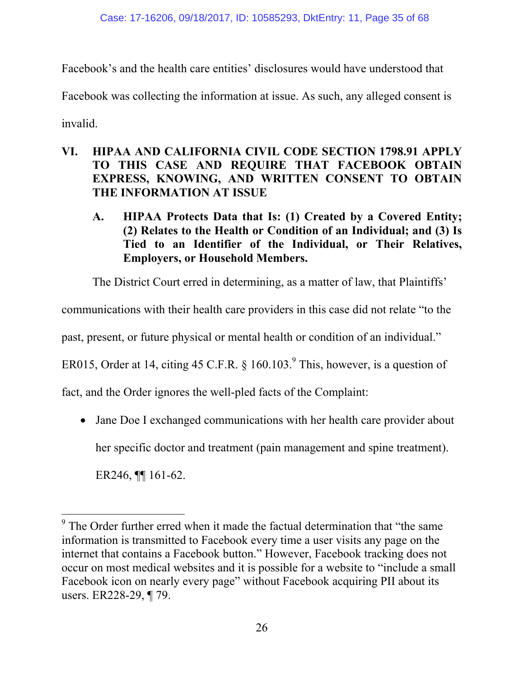Facebook's and the health care entities' disclosures would have understood that

Facebook was collecting the information at issue. As such, any alleged consent is

invalid.

 $\overline{a}$ 

- **VI. HIPAA AND CALIFORNIA CIVIL CODE SECTION 1798.91 APPLY TO THIS CASE AND REQUIRE THAT FACEBOOK OBTAIN EXPRESS, KNOWING, AND WRITTEN CONSENT TO OBTAIN THE INFORMATION AT ISSUE** 
	- **A. HIPAA Protects Data that Is: (1) Created by a Covered Entity; (2) Relates to the Health or Condition of an Individual; and (3) Is Tied to an Identifier of the Individual, or Their Relatives, Employers, or Household Members.**

The District Court erred in determining, as a matter of law, that Plaintiffs'

communications with their health care providers in this case did not relate "to the

past, present, or future physical or mental health or condition of an individual."

ER015, Order at 14, citing 45 C.F.R.  $\S$  160.103.<sup>9</sup> This, however, is a question of

fact, and the Order ignores the well-pled facts of the Complaint:

• Jane Doe I exchanged communications with her health care provider about her specific doctor and treatment (pain management and spine treatment). ER246, ¶¶ 161-62.

 $9$  The Order further erred when it made the factual determination that "the same information is transmitted to Facebook every time a user visits any page on the internet that contains a Facebook button." However, Facebook tracking does not occur on most medical websites and it is possible for a website to "include a small Facebook icon on nearly every page" without Facebook acquiring PII about its users. ER228-29, ¶ 79.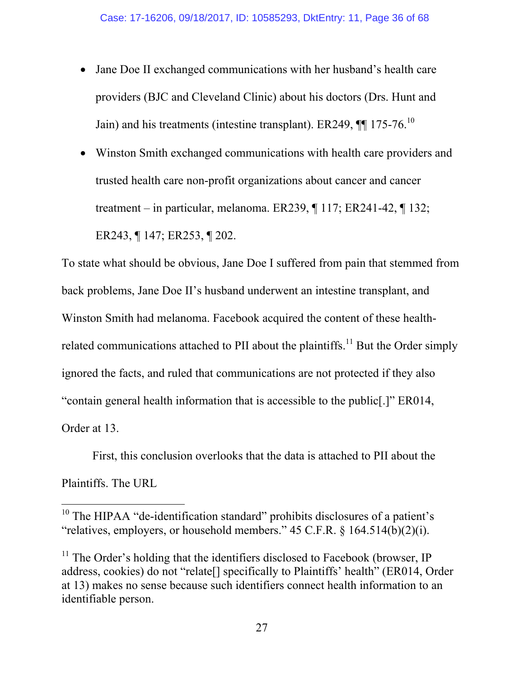- Jane Doe II exchanged communications with her husband's health care providers (BJC and Cleveland Clinic) about his doctors (Drs. Hunt and Jain) and his treatments (intestine transplant). ER249,  $\P\P$  175-76.<sup>10</sup>
- Winston Smith exchanged communications with health care providers and trusted health care non-profit organizations about cancer and cancer treatment – in particular, melanoma. ER239, ¶ 117; ER241-42, ¶ 132; ER243, ¶ 147; ER253, ¶ 202.

To state what should be obvious, Jane Doe I suffered from pain that stemmed from back problems, Jane Doe II's husband underwent an intestine transplant, and Winston Smith had melanoma. Facebook acquired the content of these healthrelated communications attached to PII about the plaintiffs.<sup>11</sup> But the Order simply ignored the facts, and ruled that communications are not protected if they also "contain general health information that is accessible to the public[.]" ER014, Order at 13.

 First, this conclusion overlooks that the data is attached to PII about the Plaintiffs. The URL

 $10$  The HIPAA "de-identification standard" prohibits disclosures of a patient's "relatives, employers, or household members."  $45$  C.F.R.  $\S$  164.514(b)(2)(i).

 $11$  The Order's holding that the identifiers disclosed to Facebook (browser, IP address, cookies) do not "relate[] specifically to Plaintiffs' health" (ER014, Order at 13) makes no sense because such identifiers connect health information to an identifiable person.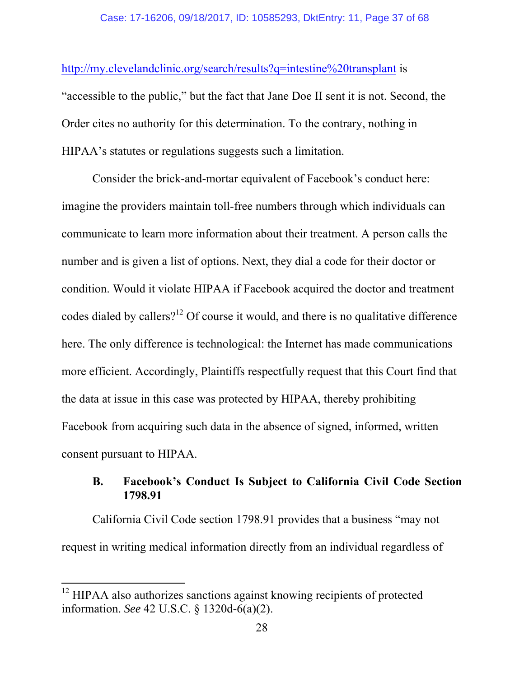http://my.clevelandclinic.org/search/results?q=intestine%20transplant is

"accessible to the public," but the fact that Jane Doe II sent it is not. Second, the Order cites no authority for this determination. To the contrary, nothing in HIPAA's statutes or regulations suggests such a limitation.

Consider the brick-and-mortar equivalent of Facebook's conduct here: imagine the providers maintain toll-free numbers through which individuals can communicate to learn more information about their treatment. A person calls the number and is given a list of options. Next, they dial a code for their doctor or condition. Would it violate HIPAA if Facebook acquired the doctor and treatment codes dialed by callers?<sup>12</sup> Of course it would, and there is no qualitative difference here. The only difference is technological: the Internet has made communications more efficient. Accordingly, Plaintiffs respectfully request that this Court find that the data at issue in this case was protected by HIPAA, thereby prohibiting Facebook from acquiring such data in the absence of signed, informed, written consent pursuant to HIPAA.

## **B. Facebook's Conduct Is Subject to California Civil Code Section 1798.91**

California Civil Code section 1798.91 provides that a business "may not request in writing medical information directly from an individual regardless of

 $12$  HIPAA also authorizes sanctions against knowing recipients of protected information. *See* 42 U.S.C. § 1320d-6(a)(2).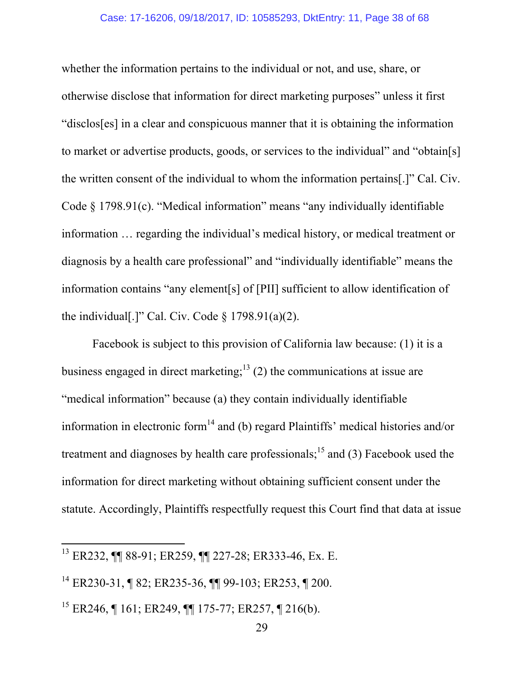whether the information pertains to the individual or not, and use, share, or otherwise disclose that information for direct marketing purposes" unless it first "disclos[es] in a clear and conspicuous manner that it is obtaining the information to market or advertise products, goods, or services to the individual" and "obtain[s] the written consent of the individual to whom the information pertains[.]" Cal. Civ. Code § 1798.91(c). "Medical information" means "any individually identifiable information … regarding the individual's medical history, or medical treatment or diagnosis by a health care professional" and "individually identifiable" means the information contains "any element[s] of [PII] sufficient to allow identification of the individual[.]" Cal. Civ. Code  $\S$  1798.91(a)(2).

Facebook is subject to this provision of California law because: (1) it is a business engaged in direct marketing;<sup>13</sup> (2) the communications at issue are "medical information" because (a) they contain individually identifiable information in electronic form<sup>14</sup> and (b) regard Plaintiffs' medical histories and/or treatment and diagnoses by health care professionals;<sup>15</sup> and (3) Facebook used the information for direct marketing without obtaining sufficient consent under the statute. Accordingly, Plaintiffs respectfully request this Court find that data at issue

<sup>13</sup> ER232, ¶¶ 88-91; ER259, ¶¶ 227-28; ER333-46, Ex. E.

<sup>14</sup> ER230-31, ¶ 82; ER235-36, ¶¶ 99-103; ER253, ¶ 200.

<sup>&</sup>lt;sup>15</sup> ER246, ¶ 161; ER249, ¶¶ 175-77; ER257, ¶ 216(b).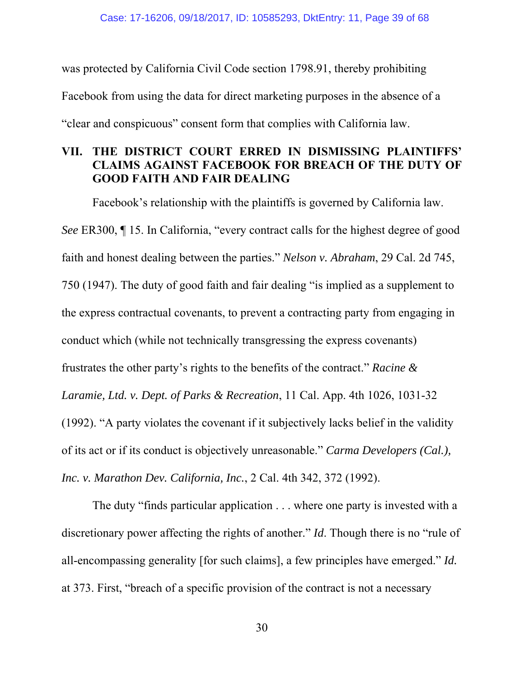was protected by California Civil Code section 1798.91, thereby prohibiting Facebook from using the data for direct marketing purposes in the absence of a "clear and conspicuous" consent form that complies with California law.

## **VII. THE DISTRICT COURT ERRED IN DISMISSING PLAINTIFFS' CLAIMS AGAINST FACEBOOK FOR BREACH OF THE DUTY OF GOOD FAITH AND FAIR DEALING**

Facebook's relationship with the plaintiffs is governed by California law. *See* ER300, ¶ 15. In California, "every contract calls for the highest degree of good faith and honest dealing between the parties." *Nelson v. Abraham*, 29 Cal. 2d 745, 750 (1947). The duty of good faith and fair dealing "is implied as a supplement to the express contractual covenants, to prevent a contracting party from engaging in conduct which (while not technically transgressing the express covenants) frustrates the other party's rights to the benefits of the contract." *Racine & Laramie, Ltd. v. Dept. of Parks & Recreation*, 11 Cal. App. 4th 1026, 1031-32 (1992). "A party violates the covenant if it subjectively lacks belief in the validity of its act or if its conduct is objectively unreasonable." *Carma Developers (Cal.), Inc. v. Marathon Dev. California, Inc.*, 2 Cal. 4th 342, 372 (1992).

The duty "finds particular application . . . where one party is invested with a discretionary power affecting the rights of another." *Id*. Though there is no "rule of all-encompassing generality [for such claims], a few principles have emerged." *Id.* at 373. First, "breach of a specific provision of the contract is not a necessary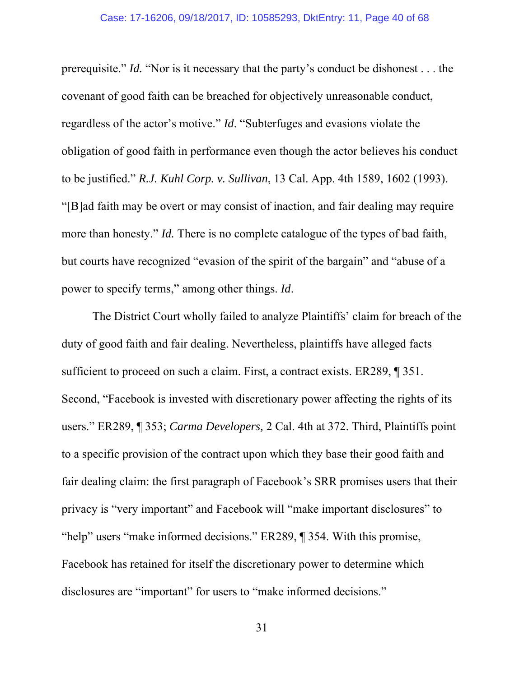prerequisite." *Id.* "Nor is it necessary that the party's conduct be dishonest . . . the covenant of good faith can be breached for objectively unreasonable conduct, regardless of the actor's motive." *Id*. "Subterfuges and evasions violate the obligation of good faith in performance even though the actor believes his conduct to be justified." *R.J. Kuhl Corp. v. Sullivan*, 13 Cal. App. 4th 1589, 1602 (1993). "[B]ad faith may be overt or may consist of inaction, and fair dealing may require more than honesty." *Id.* There is no complete catalogue of the types of bad faith, but courts have recognized "evasion of the spirit of the bargain" and "abuse of a power to specify terms," among other things. *Id*.

The District Court wholly failed to analyze Plaintiffs' claim for breach of the duty of good faith and fair dealing. Nevertheless, plaintiffs have alleged facts sufficient to proceed on such a claim. First, a contract exists. ER289, ¶ 351. Second, "Facebook is invested with discretionary power affecting the rights of its users." ER289, ¶ 353; *Carma Developers,* 2 Cal. 4th at 372. Third, Plaintiffs point to a specific provision of the contract upon which they base their good faith and fair dealing claim: the first paragraph of Facebook's SRR promises users that their privacy is "very important" and Facebook will "make important disclosures" to "help" users "make informed decisions." ER289, ¶ 354. With this promise, Facebook has retained for itself the discretionary power to determine which disclosures are "important" for users to "make informed decisions."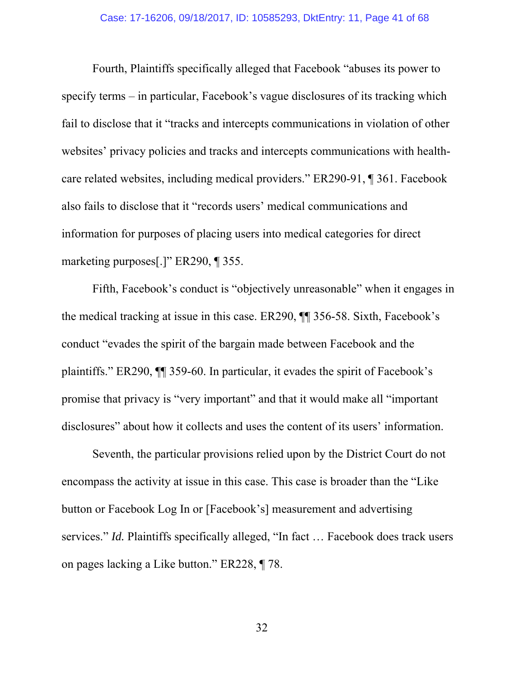Fourth, Plaintiffs specifically alleged that Facebook "abuses its power to specify terms – in particular, Facebook's vague disclosures of its tracking which fail to disclose that it "tracks and intercepts communications in violation of other websites' privacy policies and tracks and intercepts communications with healthcare related websites, including medical providers." ER290-91, ¶ 361. Facebook also fails to disclose that it "records users' medical communications and information for purposes of placing users into medical categories for direct marketing purposes[.]" ER290, ¶ 355.

Fifth, Facebook's conduct is "objectively unreasonable" when it engages in the medical tracking at issue in this case. ER290, ¶¶ 356-58. Sixth, Facebook's conduct "evades the spirit of the bargain made between Facebook and the plaintiffs." ER290, ¶¶ 359-60. In particular, it evades the spirit of Facebook's promise that privacy is "very important" and that it would make all "important disclosures" about how it collects and uses the content of its users' information.

Seventh, the particular provisions relied upon by the District Court do not encompass the activity at issue in this case. This case is broader than the "Like button or Facebook Log In or [Facebook's] measurement and advertising services." *Id.* Plaintiffs specifically alleged, "In fact … Facebook does track users on pages lacking a Like button." ER228, ¶ 78.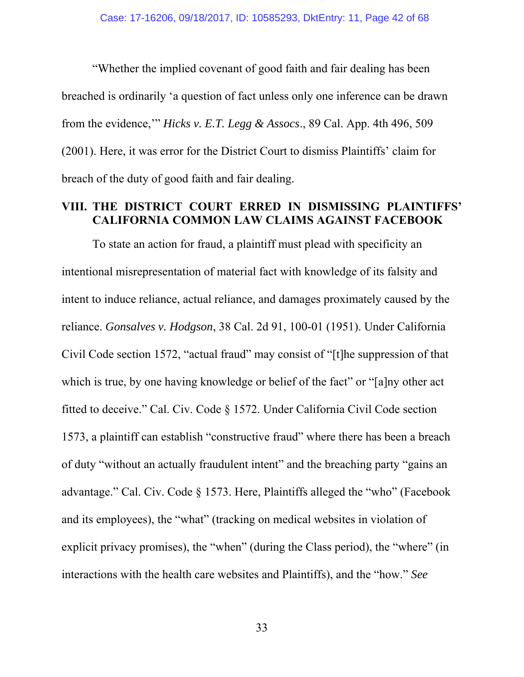"Whether the implied covenant of good faith and fair dealing has been breached is ordinarily 'a question of fact unless only one inference can be drawn from the evidence,'" *Hicks v. E.T. Legg & Assocs*., 89 Cal. App. 4th 496, 509 (2001). Here, it was error for the District Court to dismiss Plaintiffs' claim for breach of the duty of good faith and fair dealing.

### **VIII. THE DISTRICT COURT ERRED IN DISMISSING PLAINTIFFS' CALIFORNIA COMMON LAW CLAIMS AGAINST FACEBOOK**

To state an action for fraud, a plaintiff must plead with specificity an intentional misrepresentation of material fact with knowledge of its falsity and intent to induce reliance, actual reliance, and damages proximately caused by the reliance. *Gonsalves v. Hodgson*, 38 Cal. 2d 91, 100-01 (1951). Under California Civil Code section 1572, "actual fraud" may consist of "[t]he suppression of that which is true, by one having knowledge or belief of the fact" or "[a]ny other act fitted to deceive." Cal. Civ. Code § 1572. Under California Civil Code section 1573, a plaintiff can establish "constructive fraud" where there has been a breach of duty "without an actually fraudulent intent" and the breaching party "gains an advantage." Cal. Civ. Code § 1573. Here, Plaintiffs alleged the "who" (Facebook and its employees), the "what" (tracking on medical websites in violation of explicit privacy promises), the "when" (during the Class period), the "where" (in interactions with the health care websites and Plaintiffs), and the "how." *See*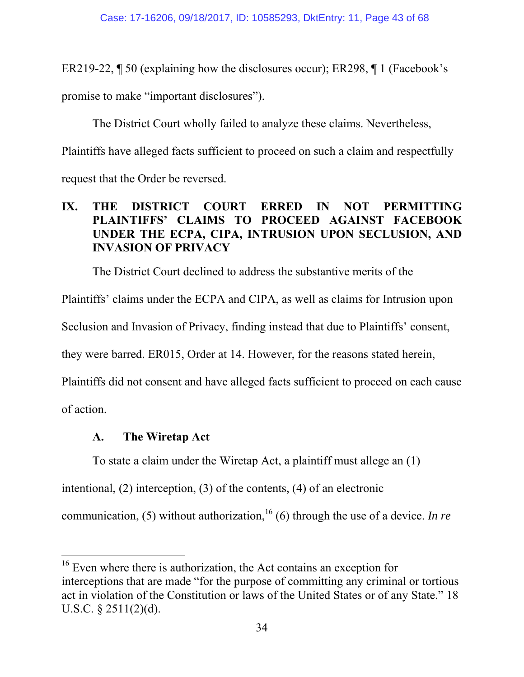ER219-22, ¶ 50 (explaining how the disclosures occur); ER298, ¶ 1 (Facebook's

promise to make "important disclosures").

The District Court wholly failed to analyze these claims. Nevertheless,

Plaintiffs have alleged facts sufficient to proceed on such a claim and respectfully

request that the Order be reversed.

## **IX. THE DISTRICT COURT ERRED IN NOT PERMITTING PLAINTIFFS' CLAIMS TO PROCEED AGAINST FACEBOOK UNDER THE ECPA, CIPA, INTRUSION UPON SECLUSION, AND INVASION OF PRIVACY**

The District Court declined to address the substantive merits of the

Plaintiffs' claims under the ECPA and CIPA, as well as claims for Intrusion upon

Seclusion and Invasion of Privacy, finding instead that due to Plaintiffs' consent,

they were barred. ER015, Order at 14. However, for the reasons stated herein,

Plaintiffs did not consent and have alleged facts sufficient to proceed on each cause

of action.

 $\overline{a}$ 

# **A. The Wiretap Act**

To state a claim under the Wiretap Act, a plaintiff must allege an (1)

intentional, (2) interception, (3) of the contents, (4) of an electronic

communication, (5) without authorization,<sup>16</sup> (6) through the use of a device. *In re* 

 $16$  Even where there is authorization, the Act contains an exception for interceptions that are made "for the purpose of committing any criminal or tortious act in violation of the Constitution or laws of the United States or of any State." 18 U.S.C. § 2511(2)(d).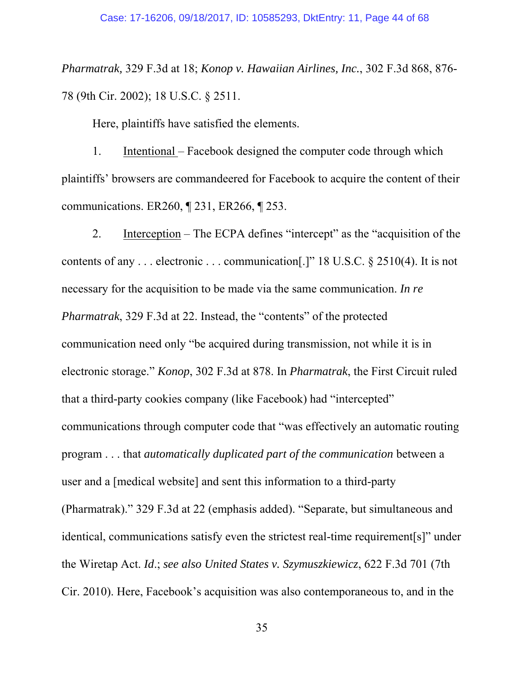*Pharmatrak,* 329 F.3d at 18; *Konop v. Hawaiian Airlines, Inc.*, 302 F.3d 868, 876- 78 (9th Cir. 2002); 18 U.S.C. § 2511.

Here, plaintiffs have satisfied the elements.

1. Intentional – Facebook designed the computer code through which plaintiffs' browsers are commandeered for Facebook to acquire the content of their communications. ER260, ¶ 231, ER266, ¶ 253.

2. Interception – The ECPA defines "intercept" as the "acquisition of the contents of any . . . electronic . . . communication[.]" 18 U.S.C. § 2510(4). It is not necessary for the acquisition to be made via the same communication. *In re Pharmatrak*, 329 F.3d at 22. Instead, the "contents" of the protected communication need only "be acquired during transmission, not while it is in electronic storage." *Konop*, 302 F.3d at 878. In *Pharmatrak*, the First Circuit ruled that a third-party cookies company (like Facebook) had "intercepted" communications through computer code that "was effectively an automatic routing program . . . that *automatically duplicated part of the communication* between a user and a [medical website] and sent this information to a third-party (Pharmatrak)." 329 F.3d at 22 (emphasis added). "Separate, but simultaneous and identical, communications satisfy even the strictest real-time requirement[s]" under the Wiretap Act. *Id*.; *see also United States v. Szymuszkiewicz*, 622 F.3d 701 (7th Cir. 2010). Here, Facebook's acquisition was also contemporaneous to, and in the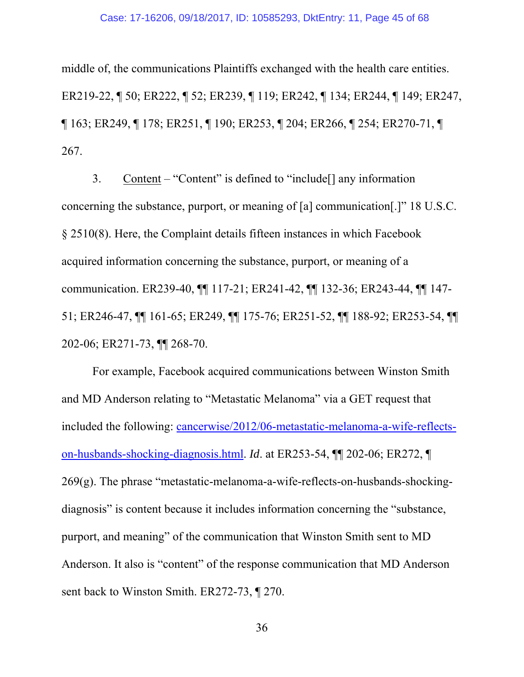#### Case: 17-16206, 09/18/2017, ID: 10585293, DktEntry: 11, Page 45 of 68

middle of, the communications Plaintiffs exchanged with the health care entities. ER219-22, ¶ 50; ER222, ¶ 52; ER239, ¶ 119; ER242, ¶ 134; ER244, ¶ 149; ER247, ¶ 163; ER249, ¶ 178; ER251, ¶ 190; ER253, ¶ 204; ER266, ¶ 254; ER270-71, ¶ 267.

3. Content – "Content" is defined to "include[] any information concerning the substance, purport, or meaning of [a] communication[.]" 18 U.S.C. § 2510(8). Here, the Complaint details fifteen instances in which Facebook acquired information concerning the substance, purport, or meaning of a communication. ER239-40, ¶¶ 117-21; ER241-42, ¶¶ 132-36; ER243-44, ¶¶ 147- 51; ER246-47, ¶¶ 161-65; ER249, ¶¶ 175-76; ER251-52, ¶¶ 188-92; ER253-54, ¶¶ 202-06; ER271-73, ¶¶ 268-70.

For example, Facebook acquired communications between Winston Smith and MD Anderson relating to "Metastatic Melanoma" via a GET request that included the following: cancerwise/2012/06-metastatic-melanoma-a-wife-reflectson-husbands-shocking-diagnosis.html. *Id*. at ER253-54, ¶¶ 202-06; ER272, ¶  $269(g)$ . The phrase "metastatic-melanoma-a-wife-reflects-on-husbands-shockingdiagnosis" is content because it includes information concerning the "substance, purport, and meaning" of the communication that Winston Smith sent to MD Anderson. It also is "content" of the response communication that MD Anderson sent back to Winston Smith. ER272-73, ¶ 270.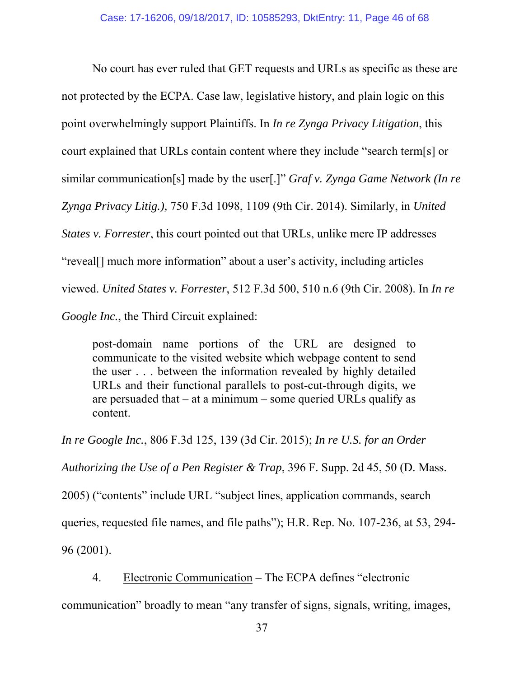No court has ever ruled that GET requests and URLs as specific as these are not protected by the ECPA. Case law, legislative history, and plain logic on this point overwhelmingly support Plaintiffs. In *In re Zynga Privacy Litigation*, this court explained that URLs contain content where they include "search term[s] or similar communication[s] made by the user[.]" *Graf v. Zynga Game Network (In re Zynga Privacy Litig.),* 750 F.3d 1098, 1109 (9th Cir. 2014). Similarly, in *United States v. Forrester*, this court pointed out that URLs, unlike mere IP addresses "reveal[] much more information" about a user's activity, including articles viewed. *United States v. Forrester*, 512 F.3d 500, 510 n.6 (9th Cir. 2008). In *In re Google Inc.*, the Third Circuit explained:

post-domain name portions of the URL are designed to communicate to the visited website which webpage content to send the user . . . between the information revealed by highly detailed URLs and their functional parallels to post-cut-through digits, we are persuaded that  $-$  at a minimum  $-$  some queried URLs qualify as content.

*In re Google Inc.*, 806 F.3d 125, 139 (3d Cir. 2015); *In re U.S. for an Order Authorizing the Use of a Pen Register & Trap*, 396 F. Supp. 2d 45, 50 (D. Mass. 2005) ("contents" include URL "subject lines, application commands, search queries, requested file names, and file paths"); H.R. Rep. No. 107-236, at 53, 294- 96 (2001).

4. Electronic Communication – The ECPA defines "electronic

communication" broadly to mean "any transfer of signs, signals, writing, images,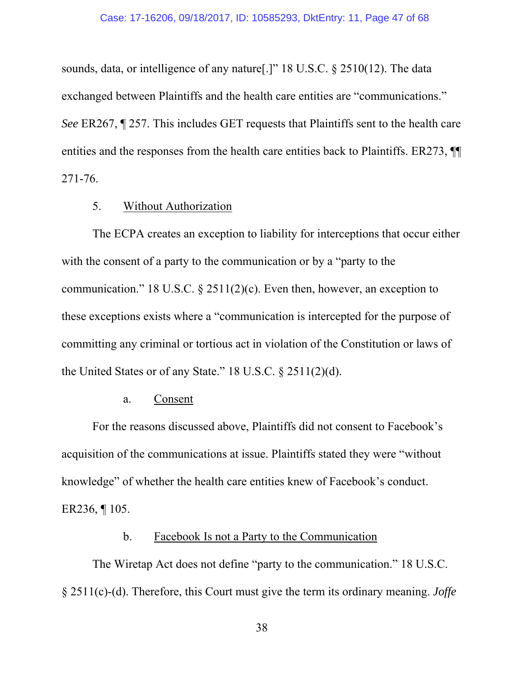sounds, data, or intelligence of any nature[.]" 18 U.S.C. § 2510(12). The data exchanged between Plaintiffs and the health care entities are "communications." *See* ER267, ¶ 257. This includes GET requests that Plaintiffs sent to the health care entities and the responses from the health care entities back to Plaintiffs. ER273,  $\P$ 271-76.

#### 5. Without Authorization

The ECPA creates an exception to liability for interceptions that occur either with the consent of a party to the communication or by a "party to the communication." 18 U.S.C. § 2511(2)(c). Even then, however, an exception to these exceptions exists where a "communication is intercepted for the purpose of committing any criminal or tortious act in violation of the Constitution or laws of the United States or of any State." 18 U.S.C. § 2511(2)(d).

#### a. Consent

For the reasons discussed above, Plaintiffs did not consent to Facebook's acquisition of the communications at issue. Plaintiffs stated they were "without knowledge" of whether the health care entities knew of Facebook's conduct. ER236, ¶ 105.

#### b. Facebook Is not a Party to the Communication

The Wiretap Act does not define "party to the communication." 18 U.S.C. § 2511(c)-(d). Therefore, this Court must give the term its ordinary meaning. *Joffe*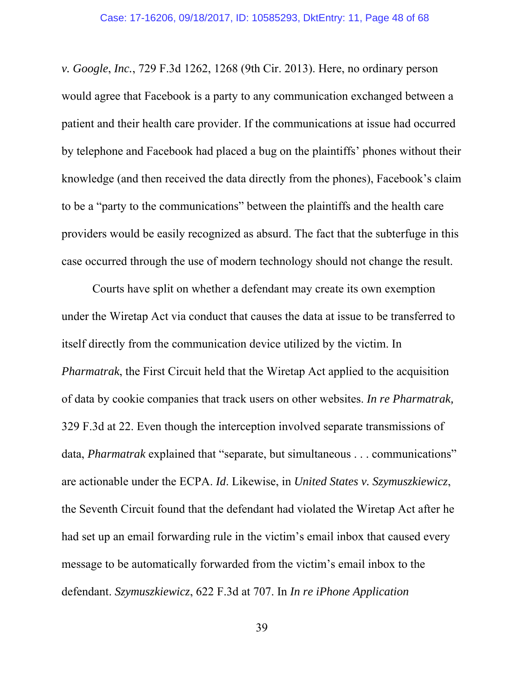*v. Google*, *Inc.*, 729 F.3d 1262, 1268 (9th Cir. 2013). Here, no ordinary person would agree that Facebook is a party to any communication exchanged between a patient and their health care provider. If the communications at issue had occurred by telephone and Facebook had placed a bug on the plaintiffs' phones without their knowledge (and then received the data directly from the phones), Facebook's claim to be a "party to the communications" between the plaintiffs and the health care providers would be easily recognized as absurd. The fact that the subterfuge in this case occurred through the use of modern technology should not change the result.

Courts have split on whether a defendant may create its own exemption under the Wiretap Act via conduct that causes the data at issue to be transferred to itself directly from the communication device utilized by the victim. In *Pharmatrak*, the First Circuit held that the Wiretap Act applied to the acquisition of data by cookie companies that track users on other websites. *In re Pharmatrak,*  329 F.3d at 22. Even though the interception involved separate transmissions of data, *Pharmatrak* explained that "separate, but simultaneous . . . communications" are actionable under the ECPA. *Id*. Likewise, in *United States v. Szymuszkiewicz*, the Seventh Circuit found that the defendant had violated the Wiretap Act after he had set up an email forwarding rule in the victim's email inbox that caused every message to be automatically forwarded from the victim's email inbox to the defendant. *Szymuszkiewicz*, 622 F.3d at 707. In *In re iPhone Application*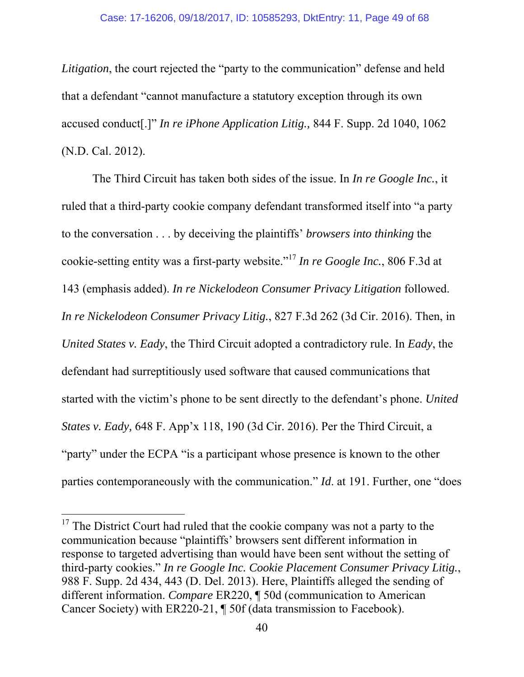*Litigation*, the court rejected the "party to the communication" defense and held that a defendant "cannot manufacture a statutory exception through its own accused conduct[.]" *In re iPhone Application Litig.,* 844 F. Supp. 2d 1040, 1062 (N.D. Cal. 2012).

The Third Circuit has taken both sides of the issue. In *In re Google Inc.*, it ruled that a third-party cookie company defendant transformed itself into "a party to the conversation . . . by deceiving the plaintiffs' *browsers into thinking* the cookie-setting entity was a first-party website."<sup>17</sup> *In re Google Inc.*, 806 F.3d at 143 (emphasis added). *In re Nickelodeon Consumer Privacy Litigation* followed. *In re Nickelodeon Consumer Privacy Litig.*, 827 F.3d 262 (3d Cir. 2016). Then, in *United States v. Eady*, the Third Circuit adopted a contradictory rule. In *Eady*, the defendant had surreptitiously used software that caused communications that started with the victim's phone to be sent directly to the defendant's phone. *United States v. Eady,* 648 F. App'x 118, 190 (3d Cir. 2016). Per the Third Circuit, a "party" under the ECPA "is a participant whose presence is known to the other parties contemporaneously with the communication." *Id*. at 191. Further, one "does

 $17$  The District Court had ruled that the cookie company was not a party to the communication because "plaintiffs' browsers sent different information in response to targeted advertising than would have been sent without the setting of third-party cookies." *In re Google Inc. Cookie Placement Consumer Privacy Litig.*, 988 F. Supp. 2d 434, 443 (D. Del. 2013). Here, Plaintiffs alleged the sending of different information. *Compare* ER220, ¶ 50d (communication to American Cancer Society) with ER220-21, ¶ 50f (data transmission to Facebook).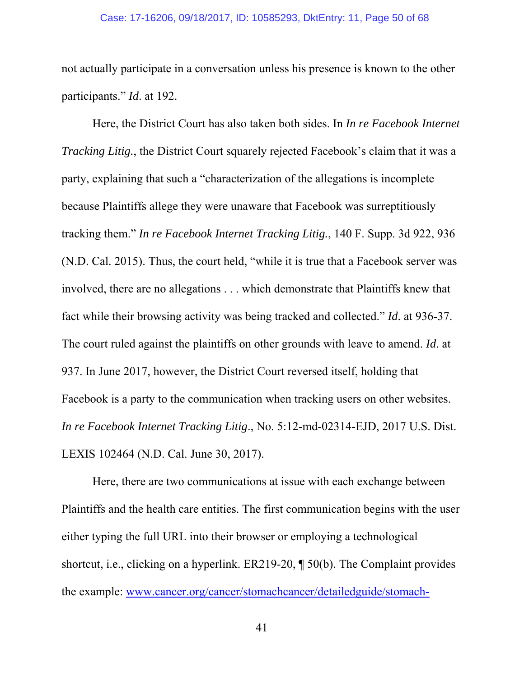#### Case: 17-16206, 09/18/2017, ID: 10585293, DktEntry: 11, Page 50 of 68

not actually participate in a conversation unless his presence is known to the other participants." *Id*. at 192.

Here, the District Court has also taken both sides. In *In re Facebook Internet Tracking Litig.*, the District Court squarely rejected Facebook's claim that it was a party, explaining that such a "characterization of the allegations is incomplete because Plaintiffs allege they were unaware that Facebook was surreptitiously tracking them." *In re Facebook Internet Tracking Litig.*, 140 F. Supp. 3d 922, 936 (N.D. Cal. 2015). Thus, the court held, "while it is true that a Facebook server was involved, there are no allegations . . . which demonstrate that Plaintiffs knew that fact while their browsing activity was being tracked and collected." *Id*. at 936-37. The court ruled against the plaintiffs on other grounds with leave to amend. *Id*. at 937. In June 2017, however, the District Court reversed itself, holding that Facebook is a party to the communication when tracking users on other websites. *In re Facebook Internet Tracking Litig*., No. 5:12-md-02314-EJD, 2017 U.S. Dist. LEXIS 102464 (N.D. Cal. June 30, 2017).

Here, there are two communications at issue with each exchange between Plaintiffs and the health care entities. The first communication begins with the user either typing the full URL into their browser or employing a technological shortcut, i.e., clicking on a hyperlink. ER219-20, ¶ 50(b). The Complaint provides the example: www.cancer.org/cancer/stomachcancer/detailedguide/stomach-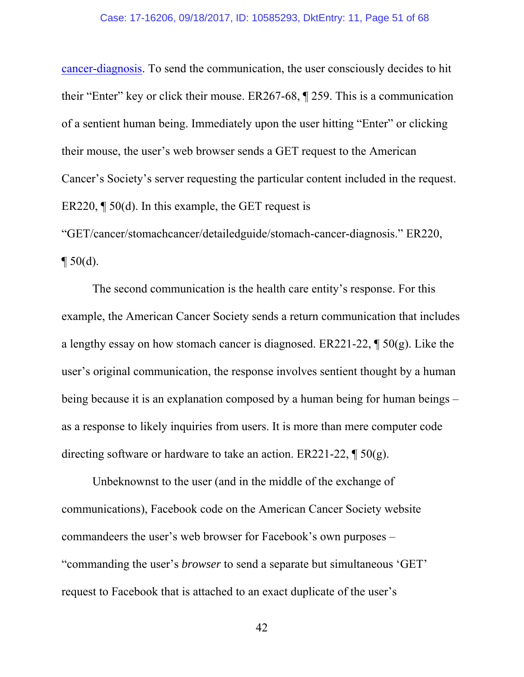cancer-diagnosis. To send the communication, the user consciously decides to hit their "Enter" key or click their mouse. ER267-68, ¶ 259. This is a communication of a sentient human being. Immediately upon the user hitting "Enter" or clicking their mouse, the user's web browser sends a GET request to the American Cancer's Society's server requesting the particular content included in the request. ER220,  $\P$  50(d). In this example, the GET request is

"GET/cancer/stomachcancer/detailedguide/stomach-cancer-diagnosis." ER220,  $\P 50(d)$ .

The second communication is the health care entity's response. For this example, the American Cancer Society sends a return communication that includes a lengthy essay on how stomach cancer is diagnosed. ER221-22, ¶ 50(g). Like the user's original communication, the response involves sentient thought by a human being because it is an explanation composed by a human being for human beings – as a response to likely inquiries from users. It is more than mere computer code directing software or hardware to take an action. ER221-22,  $\P$  50(g).

Unbeknownst to the user (and in the middle of the exchange of communications), Facebook code on the American Cancer Society website commandeers the user's web browser for Facebook's own purposes – "commanding the user's *browser* to send a separate but simultaneous 'GET' request to Facebook that is attached to an exact duplicate of the user's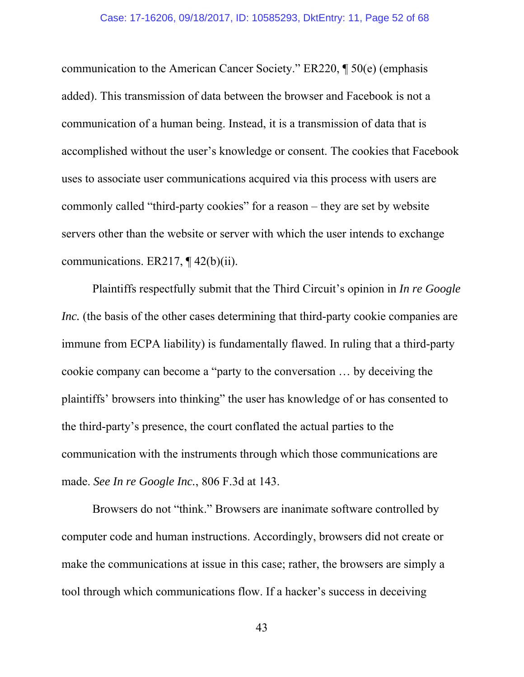communication to the American Cancer Society." ER220, ¶ 50(e) (emphasis added). This transmission of data between the browser and Facebook is not a communication of a human being. Instead, it is a transmission of data that is accomplished without the user's knowledge or consent. The cookies that Facebook uses to associate user communications acquired via this process with users are commonly called "third-party cookies" for a reason – they are set by website servers other than the website or server with which the user intends to exchange communications. ER217, ¶ 42(b)(ii).

Plaintiffs respectfully submit that the Third Circuit's opinion in *In re Google Inc.* (the basis of the other cases determining that third-party cookie companies are immune from ECPA liability) is fundamentally flawed. In ruling that a third-party cookie company can become a "party to the conversation … by deceiving the plaintiffs' browsers into thinking" the user has knowledge of or has consented to the third-party's presence, the court conflated the actual parties to the communication with the instruments through which those communications are made. *See In re Google Inc.*, 806 F.3d at 143.

Browsers do not "think." Browsers are inanimate software controlled by computer code and human instructions. Accordingly, browsers did not create or make the communications at issue in this case; rather, the browsers are simply a tool through which communications flow. If a hacker's success in deceiving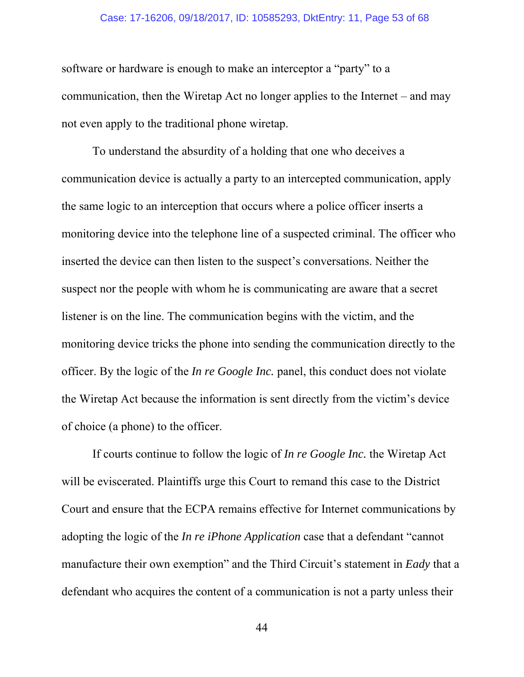#### Case: 17-16206, 09/18/2017, ID: 10585293, DktEntry: 11, Page 53 of 68

software or hardware is enough to make an interceptor a "party" to a communication, then the Wiretap Act no longer applies to the Internet – and may not even apply to the traditional phone wiretap.

To understand the absurdity of a holding that one who deceives a communication device is actually a party to an intercepted communication, apply the same logic to an interception that occurs where a police officer inserts a monitoring device into the telephone line of a suspected criminal. The officer who inserted the device can then listen to the suspect's conversations. Neither the suspect nor the people with whom he is communicating are aware that a secret listener is on the line. The communication begins with the victim, and the monitoring device tricks the phone into sending the communication directly to the officer. By the logic of the *In re Google Inc.* panel, this conduct does not violate the Wiretap Act because the information is sent directly from the victim's device of choice (a phone) to the officer.

If courts continue to follow the logic of *In re Google Inc.* the Wiretap Act will be eviscerated. Plaintiffs urge this Court to remand this case to the District Court and ensure that the ECPA remains effective for Internet communications by adopting the logic of the *In re iPhone Application* case that a defendant "cannot manufacture their own exemption" and the Third Circuit's statement in *Eady* that a defendant who acquires the content of a communication is not a party unless their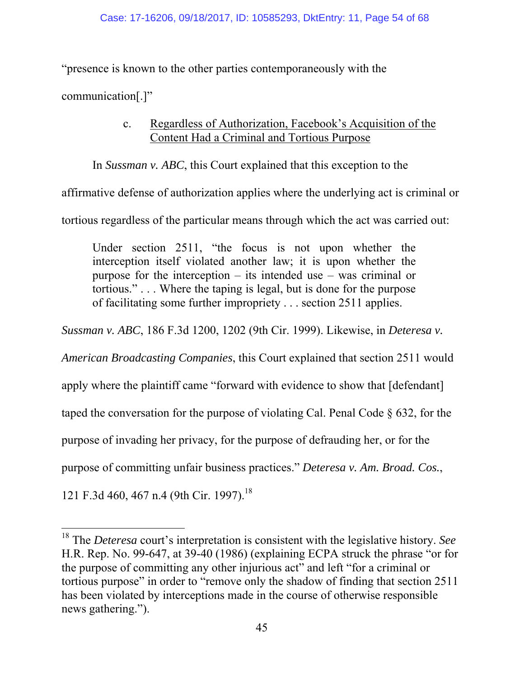"presence is known to the other parties contemporaneously with the

communication[.]"

## c. Regardless of Authorization, Facebook's Acquisition of the Content Had a Criminal and Tortious Purpose

In *Sussman v. ABC*, this Court explained that this exception to the

affirmative defense of authorization applies where the underlying act is criminal or

tortious regardless of the particular means through which the act was carried out:

Under section 2511, "the focus is not upon whether the interception itself violated another law; it is upon whether the purpose for the interception – its intended use – was criminal or tortious." . . . Where the taping is legal, but is done for the purpose of facilitating some further impropriety . . . section 2511 applies.

*Sussman v. ABC*, 186 F.3d 1200, 1202 (9th Cir. 1999). Likewise, in *Deteresa v.* 

*American Broadcasting Companies*, this Court explained that section 2511 would

apply where the plaintiff came "forward with evidence to show that [defendant]

taped the conversation for the purpose of violating Cal. Penal Code § 632, for the

purpose of invading her privacy, for the purpose of defrauding her, or for the

purpose of committing unfair business practices." *Deteresa v. Am. Broad. Cos.*,

121 F.3d 460, 467 n.4 (9th Cir. 1997).<sup>18</sup>

 $\overline{a}$ 18 The *Deteresa* court's interpretation is consistent with the legislative history. *See* H.R. Rep. No. 99-647, at 39-40 (1986) (explaining ECPA struck the phrase "or for the purpose of committing any other injurious act" and left "for a criminal or tortious purpose" in order to "remove only the shadow of finding that section 2511 has been violated by interceptions made in the course of otherwise responsible news gathering.").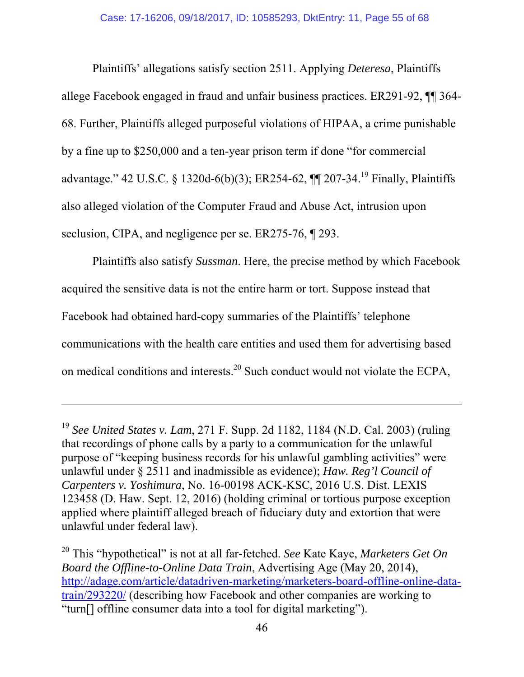Plaintiffs' allegations satisfy section 2511. Applying *Deteresa*, Plaintiffs allege Facebook engaged in fraud and unfair business practices. ER291-92, ¶¶ 364- 68. Further, Plaintiffs alleged purposeful violations of HIPAA, a crime punishable by a fine up to \$250,000 and a ten-year prison term if done "for commercial advantage." 42 U.S.C. § 1320d-6(b)(3); ER254-62, ¶¶ 207-34.19 Finally, Plaintiffs also alleged violation of the Computer Fraud and Abuse Act, intrusion upon seclusion, CIPA, and negligence per se. ER275-76,  $\P$  293.

Plaintiffs also satisfy *Sussman*. Here, the precise method by which Facebook acquired the sensitive data is not the entire harm or tort. Suppose instead that Facebook had obtained hard-copy summaries of the Plaintiffs' telephone communications with the health care entities and used them for advertising based on medical conditions and interests.<sup>20</sup> Such conduct would not violate the ECPA,

<sup>19</sup> *See United States v. Lam*, 271 F. Supp. 2d 1182, 1184 (N.D. Cal. 2003) (ruling that recordings of phone calls by a party to a communication for the unlawful purpose of "keeping business records for his unlawful gambling activities" were unlawful under § 2511 and inadmissible as evidence); *Haw. Reg'l Council of Carpenters v. Yoshimura*, No. 16-00198 ACK-KSC, 2016 U.S. Dist. LEXIS 123458 (D. Haw. Sept. 12, 2016) (holding criminal or tortious purpose exception applied where plaintiff alleged breach of fiduciary duty and extortion that were unlawful under federal law).

<sup>20</sup> This "hypothetical" is not at all far-fetched. *See* Kate Kaye, *Marketers Get On Board the Offline-to-Online Data Train*, Advertising Age (May 20, 2014), http://adage.com/article/datadriven-marketing/marketers-board-offline-online-datatrain/293220/ (describing how Facebook and other companies are working to "turn[] offline consumer data into a tool for digital marketing").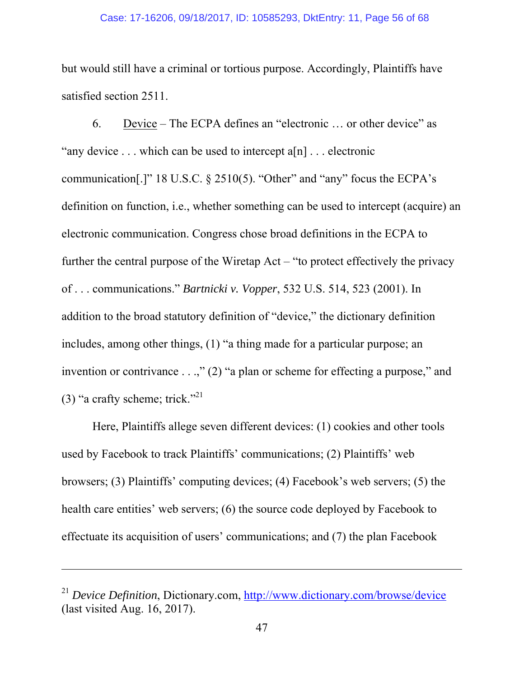#### Case: 17-16206, 09/18/2017, ID: 10585293, DktEntry: 11, Page 56 of 68

but would still have a criminal or tortious purpose. Accordingly, Plaintiffs have satisfied section 2511.

6. Device – The ECPA defines an "electronic … or other device" as "any device  $\dots$  which can be used to intercept a[n]  $\dots$  electronic communication[.]" 18 U.S.C.  $\S$  2510(5). "Other" and "any" focus the ECPA's definition on function, i.e., whether something can be used to intercept (acquire) an electronic communication. Congress chose broad definitions in the ECPA to further the central purpose of the Wiretap Act – "to protect effectively the privacy of . . . communications." *Bartnicki v. Vopper*, 532 U.S. 514, 523 (2001). In addition to the broad statutory definition of "device," the dictionary definition includes, among other things, (1) "a thing made for a particular purpose; an invention or contrivance . . .," (2) "a plan or scheme for effecting a purpose," and (3) "a crafty scheme; trick."<sup>21</sup>

Here, Plaintiffs allege seven different devices: (1) cookies and other tools used by Facebook to track Plaintiffs' communications; (2) Plaintiffs' web browsers; (3) Plaintiffs' computing devices; (4) Facebook's web servers; (5) the health care entities' web servers; (6) the source code deployed by Facebook to effectuate its acquisition of users' communications; and (7) the plan Facebook

<sup>21</sup> *Device Definition*, Dictionary.com, http://www.dictionary.com/browse/device (last visited Aug. 16, 2017).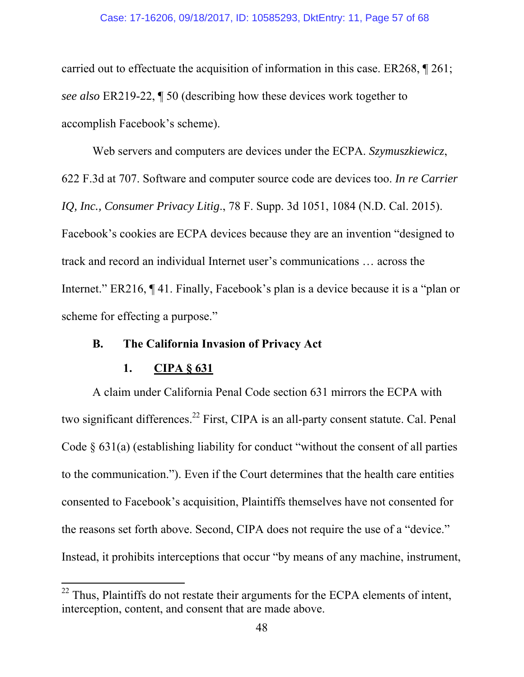#### Case: 17-16206, 09/18/2017, ID: 10585293, DktEntry: 11, Page 57 of 68

carried out to effectuate the acquisition of information in this case. ER268, ¶ 261; *see also* ER219-22, ¶ 50 (describing how these devices work together to accomplish Facebook's scheme).

Web servers and computers are devices under the ECPA. *Szymuszkiewicz*, 622 F.3d at 707. Software and computer source code are devices too. *In re Carrier IQ, Inc., Consumer Privacy Litig*., 78 F. Supp. 3d 1051, 1084 (N.D. Cal. 2015). Facebook's cookies are ECPA devices because they are an invention "designed to track and record an individual Internet user's communications … across the Internet." ER216, ¶ 41. Finally, Facebook's plan is a device because it is a "plan or scheme for effecting a purpose."

#### **B. The California Invasion of Privacy Act**

#### **1. CIPA § 631**

 $\overline{a}$ 

A claim under California Penal Code section 631 mirrors the ECPA with two significant differences.<sup>22</sup> First, CIPA is an all-party consent statute. Cal. Penal Code § 631(a) (establishing liability for conduct "without the consent of all parties to the communication."). Even if the Court determines that the health care entities consented to Facebook's acquisition, Plaintiffs themselves have not consented for the reasons set forth above. Second, CIPA does not require the use of a "device." Instead, it prohibits interceptions that occur "by means of any machine, instrument,

 $^{22}$  Thus, Plaintiffs do not restate their arguments for the ECPA elements of intent, interception, content, and consent that are made above.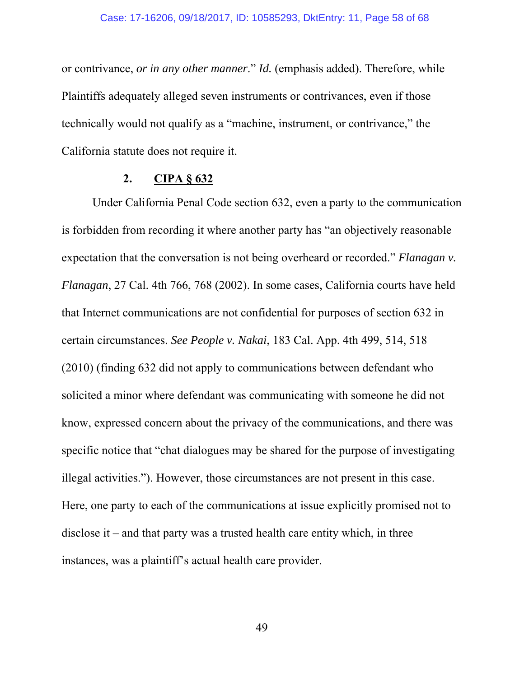or contrivance, *or in any other manner*." *Id.* (emphasis added). Therefore, while Plaintiffs adequately alleged seven instruments or contrivances, even if those technically would not qualify as a "machine, instrument, or contrivance," the California statute does not require it.

#### **2. CIPA § 632**

Under California Penal Code section 632, even a party to the communication is forbidden from recording it where another party has "an objectively reasonable expectation that the conversation is not being overheard or recorded." *Flanagan v. Flanagan*, 27 Cal. 4th 766, 768 (2002). In some cases, California courts have held that Internet communications are not confidential for purposes of section 632 in certain circumstances. *See People v. Nakai*, 183 Cal. App. 4th 499, 514, 518 (2010) (finding 632 did not apply to communications between defendant who solicited a minor where defendant was communicating with someone he did not know, expressed concern about the privacy of the communications, and there was specific notice that "chat dialogues may be shared for the purpose of investigating illegal activities."). However, those circumstances are not present in this case. Here, one party to each of the communications at issue explicitly promised not to disclose it – and that party was a trusted health care entity which, in three instances, was a plaintiff's actual health care provider.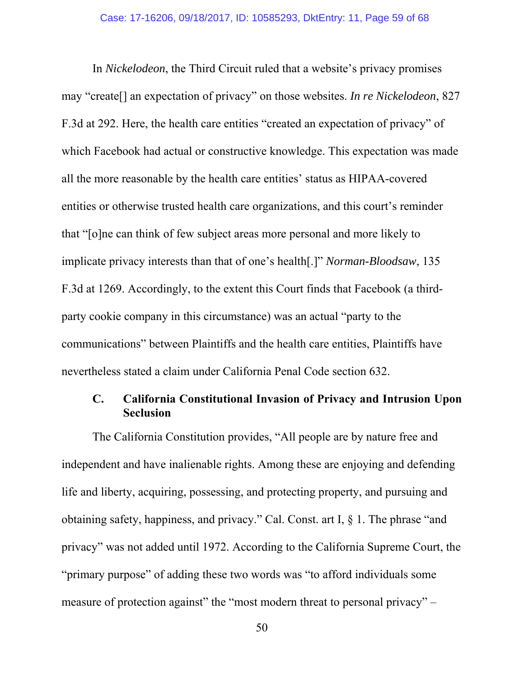In *Nickelodeon*, the Third Circuit ruled that a website's privacy promises may "create[] an expectation of privacy" on those websites. *In re Nickelodeon*, 827 F.3d at 292. Here, the health care entities "created an expectation of privacy" of which Facebook had actual or constructive knowledge. This expectation was made all the more reasonable by the health care entities' status as HIPAA-covered entities or otherwise trusted health care organizations, and this court's reminder that "[o]ne can think of few subject areas more personal and more likely to implicate privacy interests than that of one's health[.]" *Norman-Bloodsaw*, 135 F.3d at 1269. Accordingly, to the extent this Court finds that Facebook (a thirdparty cookie company in this circumstance) was an actual "party to the communications" between Plaintiffs and the health care entities, Plaintiffs have nevertheless stated a claim under California Penal Code section 632.

## **C. California Constitutional Invasion of Privacy and Intrusion Upon Seclusion**

The California Constitution provides, "All people are by nature free and independent and have inalienable rights. Among these are enjoying and defending life and liberty, acquiring, possessing, and protecting property, and pursuing and obtaining safety, happiness, and privacy." Cal. Const. art I, § 1. The phrase "and privacy" was not added until 1972. According to the California Supreme Court, the "primary purpose" of adding these two words was "to afford individuals some measure of protection against" the "most modern threat to personal privacy" –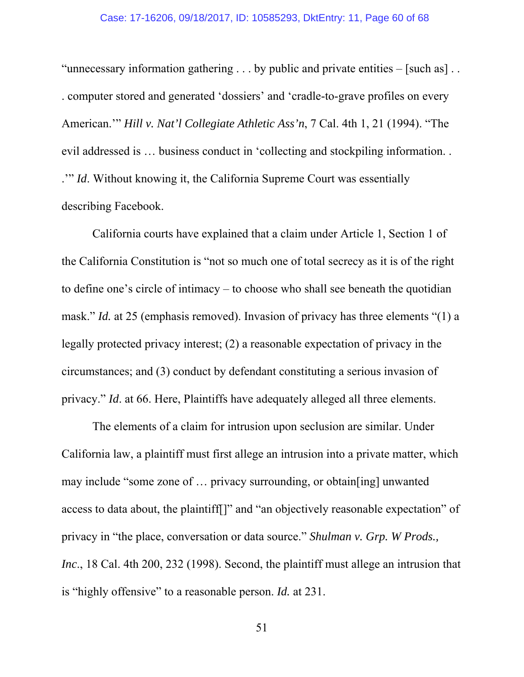"unnecessary information gathering  $\dots$  by public and private entities – [such as]  $\dots$ . computer stored and generated 'dossiers' and 'cradle-to-grave profiles on every American.'" *Hill v. Nat'l Collegiate Athletic Ass'n*, 7 Cal. 4th 1, 21 (1994). "The evil addressed is … business conduct in 'collecting and stockpiling information. . .'" *Id*. Without knowing it, the California Supreme Court was essentially describing Facebook.

California courts have explained that a claim under Article 1, Section 1 of the California Constitution is "not so much one of total secrecy as it is of the right to define one's circle of intimacy – to choose who shall see beneath the quotidian mask." *Id.* at 25 (emphasis removed). Invasion of privacy has three elements "(1) a legally protected privacy interest; (2) a reasonable expectation of privacy in the circumstances; and (3) conduct by defendant constituting a serious invasion of privacy." *Id*. at 66. Here, Plaintiffs have adequately alleged all three elements.

The elements of a claim for intrusion upon seclusion are similar. Under California law, a plaintiff must first allege an intrusion into a private matter, which may include "some zone of … privacy surrounding, or obtain[ing] unwanted access to data about, the plaintiff[]" and "an objectively reasonable expectation" of privacy in "the place, conversation or data source." *Shulman v. Grp. W Prods., Inc.*, 18 Cal. 4th 200, 232 (1998). Second, the plaintiff must allege an intrusion that is "highly offensive" to a reasonable person. *Id.* at 231.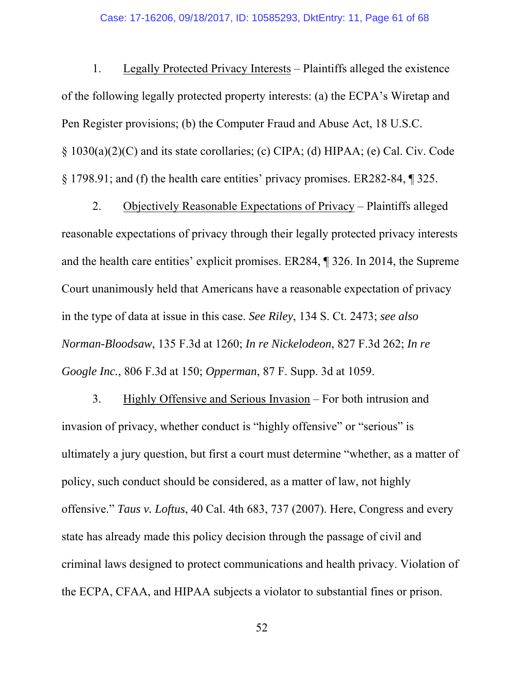1. Legally Protected Privacy Interests – Plaintiffs alleged the existence of the following legally protected property interests: (a) the ECPA's Wiretap and Pen Register provisions; (b) the Computer Fraud and Abuse Act, 18 U.S.C. § 1030(a)(2)(C) and its state corollaries; (c) CIPA; (d) HIPAA; (e) Cal. Civ. Code § 1798.91; and (f) the health care entities' privacy promises. ER282-84, ¶ 325.

2. Objectively Reasonable Expectations of Privacy – Plaintiffs alleged reasonable expectations of privacy through their legally protected privacy interests and the health care entities' explicit promises. ER284, ¶ 326. In 2014, the Supreme Court unanimously held that Americans have a reasonable expectation of privacy in the type of data at issue in this case. *See Riley*, 134 S. Ct. 2473; *see also Norman-Bloodsaw*, 135 F.3d at 1260; *In re Nickelodeon*, 827 F.3d 262; *In re Google Inc.*, 806 F.3d at 150; *Opperman*, 87 F. Supp. 3d at 1059.

3. Highly Offensive and Serious Invasion – For both intrusion and invasion of privacy, whether conduct is "highly offensive" or "serious" is ultimately a jury question, but first a court must determine "whether, as a matter of policy, such conduct should be considered, as a matter of law, not highly offensive." *Taus v. Loftus*, 40 Cal. 4th 683, 737 (2007). Here, Congress and every state has already made this policy decision through the passage of civil and criminal laws designed to protect communications and health privacy. Violation of the ECPA, CFAA, and HIPAA subjects a violator to substantial fines or prison.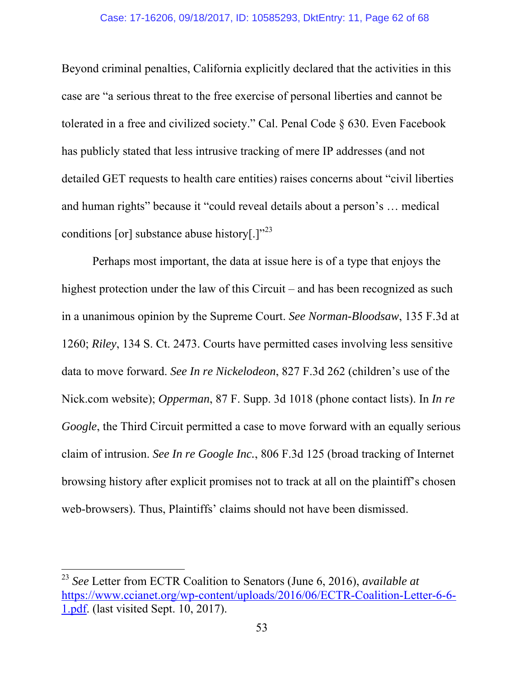Beyond criminal penalties, California explicitly declared that the activities in this case are "a serious threat to the free exercise of personal liberties and cannot be tolerated in a free and civilized society." Cal. Penal Code § 630. Even Facebook has publicly stated that less intrusive tracking of mere IP addresses (and not detailed GET requests to health care entities) raises concerns about "civil liberties and human rights" because it "could reveal details about a person's … medical conditions [or] substance abuse history[.] $^{23}$ 

Perhaps most important, the data at issue here is of a type that enjoys the highest protection under the law of this Circuit – and has been recognized as such in a unanimous opinion by the Supreme Court. *See Norman-Bloodsaw*, 135 F.3d at 1260; *Riley*, 134 S. Ct. 2473. Courts have permitted cases involving less sensitive data to move forward. *See In re Nickelodeon*, 827 F.3d 262 (children's use of the Nick.com website); *Opperman*, 87 F. Supp. 3d 1018 (phone contact lists). In *In re Google*, the Third Circuit permitted a case to move forward with an equally serious claim of intrusion. *See In re Google Inc.*, 806 F.3d 125 (broad tracking of Internet browsing history after explicit promises not to track at all on the plaintiff's chosen web-browsers). Thus, Plaintiffs' claims should not have been dismissed.

<sup>23</sup> *See* Letter from ECTR Coalition to Senators (June 6, 2016), *available at*  https://www.ccianet.org/wp-content/uploads/2016/06/ECTR-Coalition-Letter-6-6- 1.pdf. (last visited Sept. 10, 2017).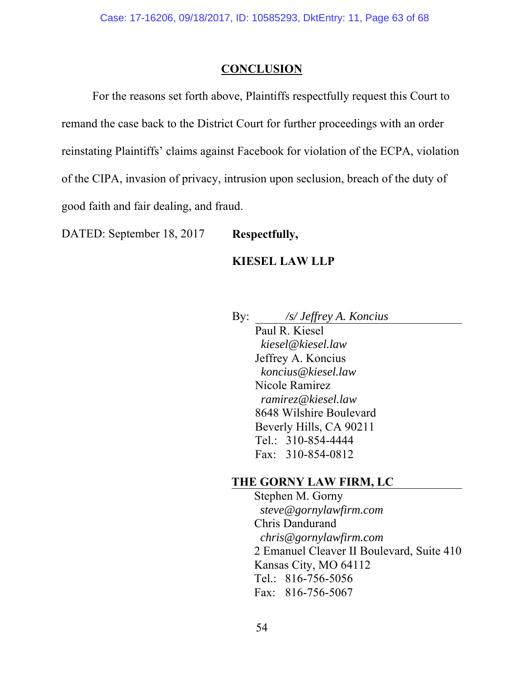#### **CONCLUSION**

For the reasons set forth above, Plaintiffs respectfully request this Court to remand the case back to the District Court for further proceedings with an order reinstating Plaintiffs' claims against Facebook for violation of the ECPA, violation of the CIPA, invasion of privacy, intrusion upon seclusion, breach of the duty of good faith and fair dealing, and fraud.

DATED: September 18, 2017 **Respectfully,** 

#### **KIESEL LAW LLP**

By: */s/ Jeffrey A. Koncius* 

 Paul R. Kiesel *kiesel@kiesel.law*  Jeffrey A. Koncius *koncius@kiesel.law*  Nicole Ramirez *ramirez@kiesel.law*  8648 Wilshire Boulevard Beverly Hills, CA 90211 Tel.: 310-854-4444 Fax: 310-854-0812

### **THE GORNY LAW FIRM, LC**

 Stephen M. Gorny *steve@gornylawfirm.com*  Chris Dandurand *chris@gornylawfirm.com*  2 Emanuel Cleaver II Boulevard, Suite 410 Kansas City, MO 64112 Tel.: 816-756-5056 Fax: 816-756-5067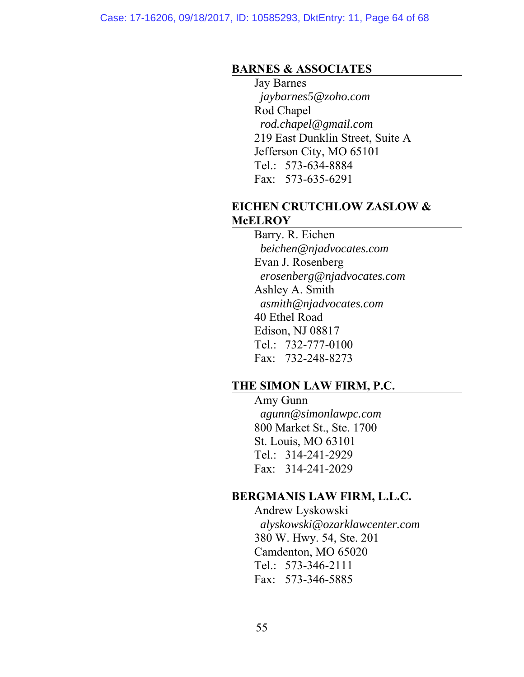#### **BARNES & ASSOCIATES**

 Jay Barnes *jaybarnes5@zoho.com*  Rod Chapel  *rod.chapel@gmail.com*  219 East Dunklin Street, Suite A Jefferson City, MO 65101 Tel.: 573-634-8884 Fax: 573-635-6291

### **EICHEN CRUTCHLOW ZASLOW & McELROY**

 Barry. R. Eichen *beichen@njadvocates.com*  Evan J. Rosenberg *erosenberg@njadvocates.com*  Ashley A. Smith *asmith@njadvocates.com*  40 Ethel Road Edison, NJ 08817 Tel.: 732-777-0100 Fax: 732-248-8273

## **THE SIMON LAW FIRM, P.C.**

 Amy Gunn *agunn@simonlawpc.com*  800 Market St., Ste. 1700 St. Louis, MO 63101 Tel.: 314-241-2929 Fax: 314-241-2029

## **BERGMANIS LAW FIRM, L.L.C.**

 Andrew Lyskowski *alyskowski@ozarklawcenter.com*  380 W. Hwy. 54, Ste. 201 Camdenton, MO 65020 Tel.: 573-346-2111 Fax: 573-346-5885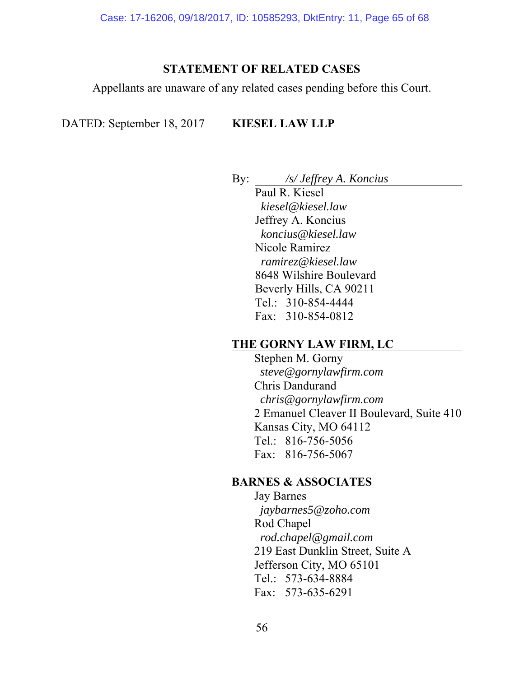#### **STATEMENT OF RELATED CASES**

Appellants are unaware of any related cases pending before this Court.

## DATED: September 18, 2017 **KIESEL LAW LLP**

By: */s/ Jeffrey A. Koncius* 

 Paul R. Kiesel *kiesel@kiesel.law*  Jeffrey A. Koncius *koncius@kiesel.law*  Nicole Ramirez *ramirez@kiesel.law*  8648 Wilshire Boulevard Beverly Hills, CA 90211 Tel.: 310-854-4444 Fax: 310-854-0812

## **THE GORNY LAW FIRM, LC**

 Stephen M. Gorny *steve@gornylawfirm.com*  Chris Dandurand *chris@gornylawfirm.com*  2 Emanuel Cleaver II Boulevard, Suite 410 Kansas City, MO 64112 Tel.: 816-756-5056 Fax: 816-756-5067

## **BARNES & ASSOCIATES**

 Jay Barnes *jaybarnes5@zoho.com*  Rod Chapel  *rod.chapel@gmail.com*  219 East Dunklin Street, Suite A Jefferson City, MO 65101 Tel.: 573-634-8884 Fax: 573-635-6291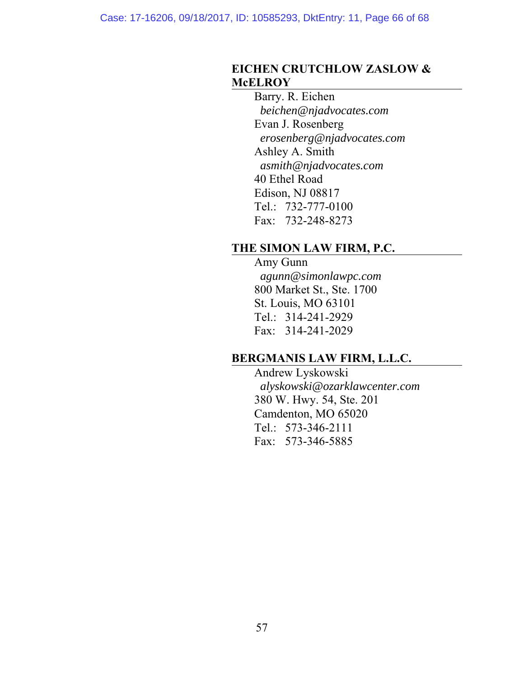### **EICHEN CRUTCHLOW ZASLOW & McELROY**

 Barry. R. Eichen *beichen@njadvocates.com*  Evan J. Rosenberg *erosenberg@njadvocates.com*  Ashley A. Smith *asmith@njadvocates.com*  40 Ethel Road Edison, NJ 08817 Tel.: 732-777-0100 Fax: 732-248-8273

## **THE SIMON LAW FIRM, P.C.**

## Amy Gunn

 *agunn@simonlawpc.com*  800 Market St., Ste. 1700 St. Louis, MO 63101 Tel.: 314-241-2929 Fax: 314-241-2029

## **BERGMANIS LAW FIRM, L.L.C.**

 Andrew Lyskowski *alyskowski@ozarklawcenter.com*  380 W. Hwy. 54, Ste. 201 Camdenton, MO 65020 Tel.: 573-346-2111 Fax: 573-346-5885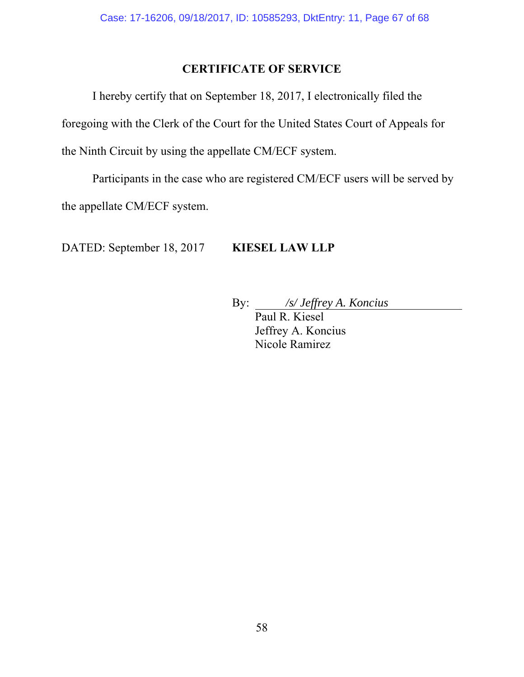## **CERTIFICATE OF SERVICE**

 I hereby certify that on September 18, 2017, I electronically filed the foregoing with the Clerk of the Court for the United States Court of Appeals for the Ninth Circuit by using the appellate CM/ECF system.

Participants in the case who are registered CM/ECF users will be served by the appellate CM/ECF system.

DATED: September 18, 2017 **KIESEL LAW LLP** 

By: */s/ Jeffrey A. Koncius* 

 Paul R. Kiesel Jeffrey A. Koncius Nicole Ramirez